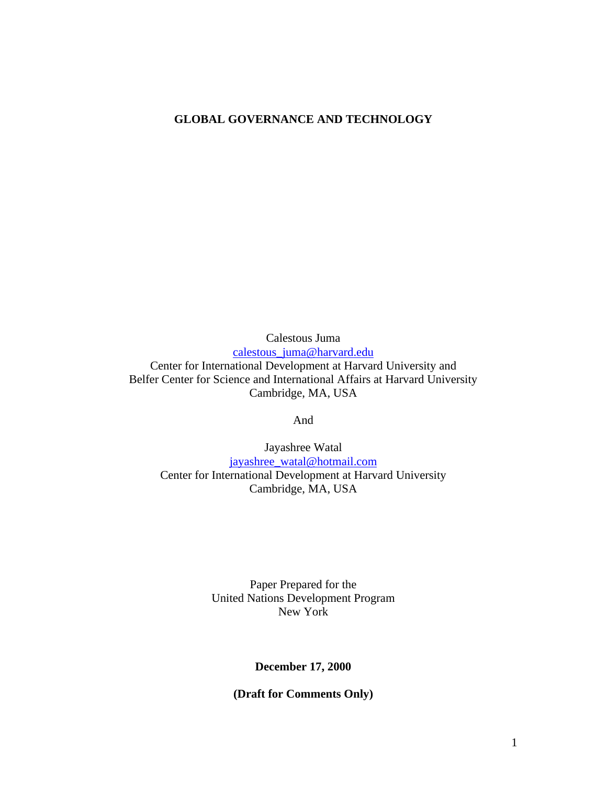# **GLOBAL GOVERNANCE AND TECHNOLOGY**

Calestous Juma calestous\_juma@harvard.edu Center for International Development at Harvard University and Belfer Center for Science and International Affairs at Harvard University Cambridge, MA, USA

And

Jayashree Watal jayashree\_watal@hotmail.com Center for International Development at Harvard University Cambridge, MA, USA

> Paper Prepared for the United Nations Development Program New York

> > **December 17, 2000**

**(Draft for Comments Only)**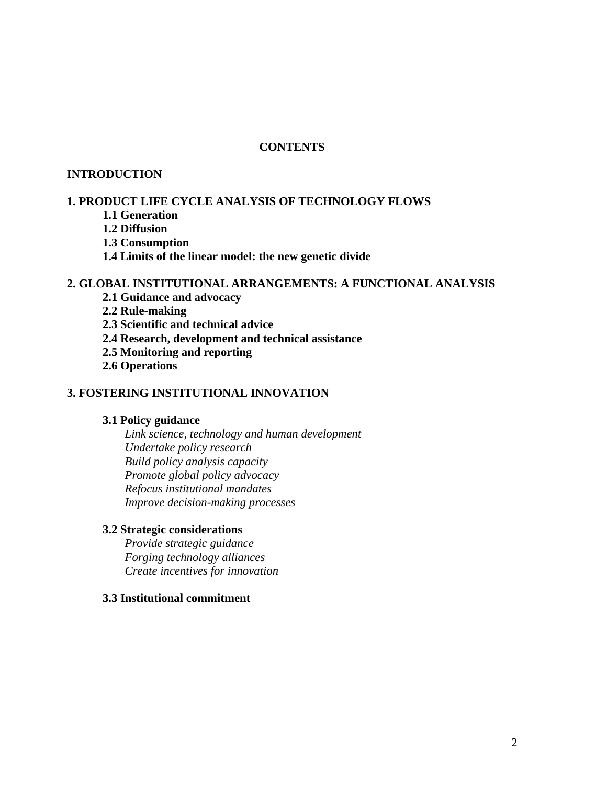# **CONTENTS**

### **INTRODUCTION**

### **1. PRODUCT LIFE CYCLE ANALYSIS OF TECHNOLOGY FLOWS**

- **1.1 Generation**
- **1.2 Diffusion**
- **1.3 Consumption**
- **1.4 Limits of the linear model: the new genetic divide**

### **2. GLOBAL INSTITUTIONAL ARRANGEMENTS: A FUNCTIONAL ANALYSIS**

- **2.1 Guidance and advocacy**
- **2.2 Rule-making**
- **2.3 Scientific and technical advice**
- **2.4 Research, development and technical assistance**
- **2.5 Monitoring and reporting**
- **2.6 Operations**

### **3. FOSTERING INSTITUTIONAL INNOVATION**

## **3.1 Policy guidance**

*Link science, technology and human development Undertake policy research Build policy analysis capacity Promote global policy advocacy Refocus institutional mandates Improve decision-making processes* 

### **3.2 Strategic considerations**

*Provide strategic guidance Forging technology alliances Create incentives for innovation*

### **3.3 Institutional commitment**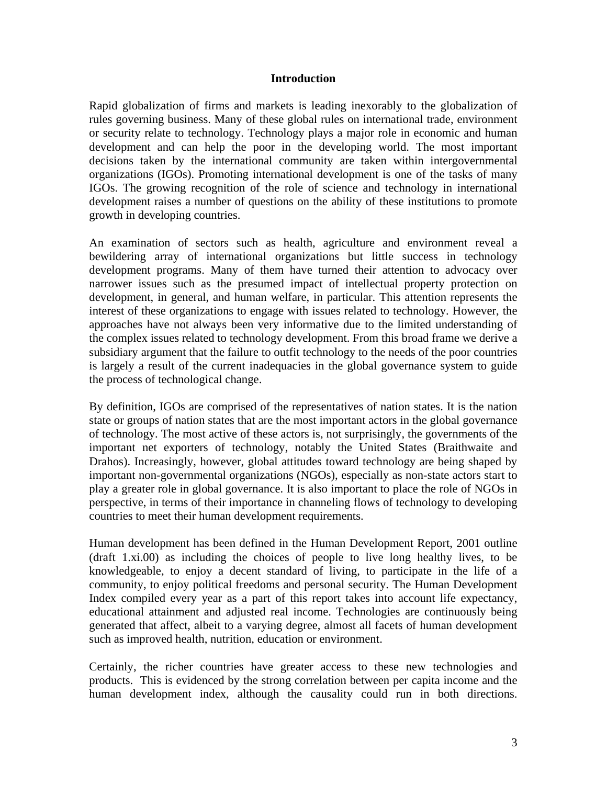### **Introduction**

Rapid globalization of firms and markets is leading inexorably to the globalization of rules governing business. Many of these global rules on international trade, environment or security relate to technology. Technology plays a major role in economic and human development and can help the poor in the developing world. The most important decisions taken by the international community are taken within intergovernmental organizations (IGOs). Promoting international development is one of the tasks of many IGOs. The growing recognition of the role of science and technology in international development raises a number of questions on the ability of these institutions to promote growth in developing countries.

An examination of sectors such as health, agriculture and environment reveal a bewildering array of international organizations but little success in technology development programs. Many of them have turned their attention to advocacy over narrower issues such as the presumed impact of intellectual property protection on development, in general, and human welfare, in particular. This attention represents the interest of these organizations to engage with issues related to technology. However, the approaches have not always been very informative due to the limited understanding of the complex issues related to technology development. From this broad frame we derive a subsidiary argument that the failure to outfit technology to the needs of the poor countries is largely a result of the current inadequacies in the global governance system to guide the process of technological change.

By definition, IGOs are comprised of the representatives of nation states. It is the nation state or groups of nation states that are the most important actors in the global governance of technology. The most active of these actors is, not surprisingly, the governments of the important net exporters of technology, notably the United States (Braithwaite and Drahos). Increasingly, however, global attitudes toward technology are being shaped by important non-governmental organizations (NGOs), especially as non-state actors start to play a greater role in global governance. It is also important to place the role of NGOs in perspective, in terms of their importance in channeling flows of technology to developing countries to meet their human development requirements.

Human development has been defined in the Human Development Report, 2001 outline (draft 1.xi.00) as including the choices of people to live long healthy lives, to be knowledgeable, to enjoy a decent standard of living, to participate in the life of a community, to enjoy political freedoms and personal security. The Human Development Index compiled every year as a part of this report takes into account life expectancy, educational attainment and adjusted real income. Technologies are continuously being generated that affect, albeit to a varying degree, almost all facets of human development such as improved health, nutrition, education or environment.

Certainly, the richer countries have greater access to these new technologies and products. This is evidenced by the strong correlation between per capita income and the human development index, although the causality could run in both directions.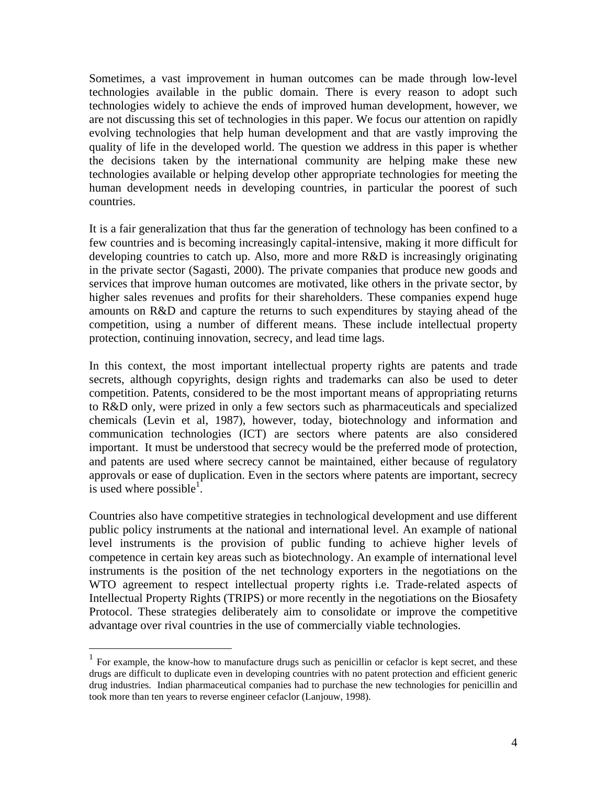Sometimes, a vast improvement in human outcomes can be made through low-level technologies available in the public domain. There is every reason to adopt such technologies widely to achieve the ends of improved human development, however, we are not discussing this set of technologies in this paper. We focus our attention on rapidly evolving technologies that help human development and that are vastly improving the quality of life in the developed world. The question we address in this paper is whether the decisions taken by the international community are helping make these new technologies available or helping develop other appropriate technologies for meeting the human development needs in developing countries, in particular the poorest of such countries.

It is a fair generalization that thus far the generation of technology has been confined to a few countries and is becoming increasingly capital-intensive, making it more difficult for developing countries to catch up. Also, more and more R&D is increasingly originating in the private sector (Sagasti, 2000). The private companies that produce new goods and services that improve human outcomes are motivated, like others in the private sector, by higher sales revenues and profits for their shareholders. These companies expend huge amounts on R&D and capture the returns to such expenditures by staying ahead of the competition, using a number of different means. These include intellectual property protection, continuing innovation, secrecy, and lead time lags.

In this context, the most important intellectual property rights are patents and trade secrets, although copyrights, design rights and trademarks can also be used to deter competition. Patents, considered to be the most important means of appropriating returns to R&D only, were prized in only a few sectors such as pharmaceuticals and specialized chemicals (Levin et al, 1987), however, today, biotechnology and information and communication technologies (ICT) are sectors where patents are also considered important. It must be understood that secrecy would be the preferred mode of protection, and patents are used where secrecy cannot be maintained, either because of regulatory approvals or ease of duplication. Even in the sectors where patents are important, secrecy is used where possible<sup>1</sup>.

Countries also have competitive strategies in technological development and use different public policy instruments at the national and international level. An example of national level instruments is the provision of public funding to achieve higher levels of competence in certain key areas such as biotechnology. An example of international level instruments is the position of the net technology exporters in the negotiations on the WTO agreement to respect intellectual property rights i.e. Trade-related aspects of Intellectual Property Rights (TRIPS) or more recently in the negotiations on the Biosafety Protocol. These strategies deliberately aim to consolidate or improve the competitive advantage over rival countries in the use of commercially viable technologies.

 $\overline{a}$ 

 $1$  For example, the know-how to manufacture drugs such as penicillin or cefaclor is kept secret, and these drugs are difficult to duplicate even in developing countries with no patent protection and efficient generic drug industries. Indian pharmaceutical companies had to purchase the new technologies for penicillin and took more than ten years to reverse engineer cefaclor (Lanjouw, 1998).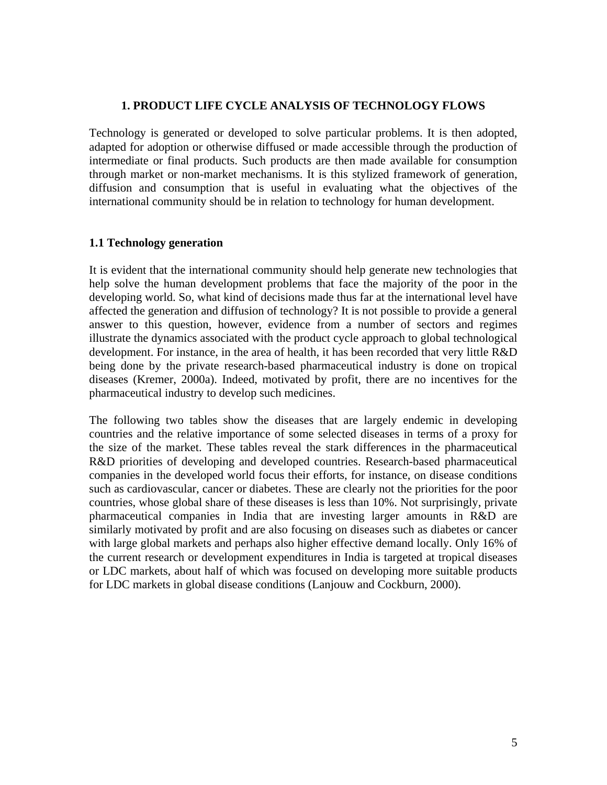### **1. PRODUCT LIFE CYCLE ANALYSIS OF TECHNOLOGY FLOWS**

Technology is generated or developed to solve particular problems. It is then adopted, adapted for adoption or otherwise diffused or made accessible through the production of intermediate or final products. Such products are then made available for consumption through market or non-market mechanisms. It is this stylized framework of generation, diffusion and consumption that is useful in evaluating what the objectives of the international community should be in relation to technology for human development.

### **1.1 Technology generation**

It is evident that the international community should help generate new technologies that help solve the human development problems that face the majority of the poor in the developing world. So, what kind of decisions made thus far at the international level have affected the generation and diffusion of technology? It is not possible to provide a general answer to this question, however, evidence from a number of sectors and regimes illustrate the dynamics associated with the product cycle approach to global technological development. For instance, in the area of health, it has been recorded that very little R&D being done by the private research-based pharmaceutical industry is done on tropical diseases (Kremer, 2000a). Indeed, motivated by profit, there are no incentives for the pharmaceutical industry to develop such medicines.

The following two tables show the diseases that are largely endemic in developing countries and the relative importance of some selected diseases in terms of a proxy for the size of the market. These tables reveal the stark differences in the pharmaceutical R&D priorities of developing and developed countries. Research-based pharmaceutical companies in the developed world focus their efforts, for instance, on disease conditions such as cardiovascular, cancer or diabetes. These are clearly not the priorities for the poor countries, whose global share of these diseases is less than 10%. Not surprisingly, private pharmaceutical companies in India that are investing larger amounts in R&D are similarly motivated by profit and are also focusing on diseases such as diabetes or cancer with large global markets and perhaps also higher effective demand locally. Only 16% of the current research or development expenditures in India is targeted at tropical diseases or LDC markets, about half of which was focused on developing more suitable products for LDC markets in global disease conditions (Lanjouw and Cockburn, 2000).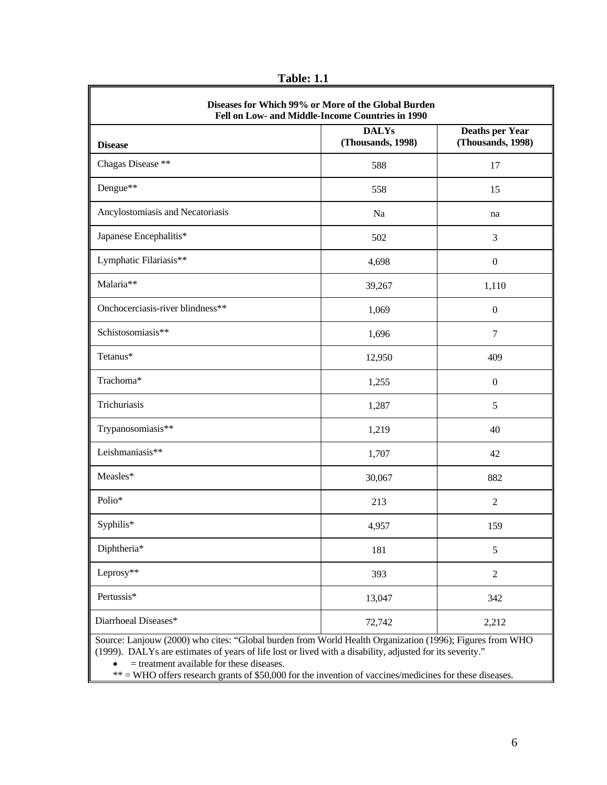**Table: 1.1** 

| <b>Disease</b>                   | <b>DALYs</b><br>(Thousands, 1998) | <b>Deaths per Year</b><br>(Thousands, 1998) |
|----------------------------------|-----------------------------------|---------------------------------------------|
| Chagas Disease **                | 588                               | 17                                          |
| Dengue**                         | 558                               | 15                                          |
| Ancylostomiasis and Necatoriasis | Na                                | na                                          |
| Japanese Encephalitis*           | 502                               | 3                                           |
| Lymphatic Filariasis**           | 4,698                             | $\boldsymbol{0}$                            |
| Malaria**                        | 39,267                            | 1,110                                       |
| Onchocerciasis-river blindness** | 1,069                             | $\boldsymbol{0}$                            |
| Schistosomiasis**                | 1,696                             | $\overline{7}$                              |
| Tetanus*                         | 12,950                            | 409                                         |
| Trachoma*                        | 1,255                             | $\boldsymbol{0}$                            |
| Trichuriasis                     | 1,287                             | 5                                           |
| Trypanosomiasis**                | 1,219                             | 40                                          |
| Leishmaniasis**                  | 1,707                             | 42                                          |
| Measles*                         | 30,067                            | 882                                         |
| Polio*                           | 213                               | $\overline{2}$                              |
| Syphilis*                        | 4,957                             | 159                                         |
| Diphtheria*                      | 181                               | $\sqrt{5}$                                  |
| Leprosy**                        | 393                               | $\overline{2}$                              |
| Pertussis*                       | 13,047                            | 342                                         |
| Diarrhoeal Diseases*             | 72,742                            | 2,212                                       |

• = treatment available for these diseases.

\*\* = WHO offers research grants of \$50,000 for the invention of vaccines/medicines for these diseases.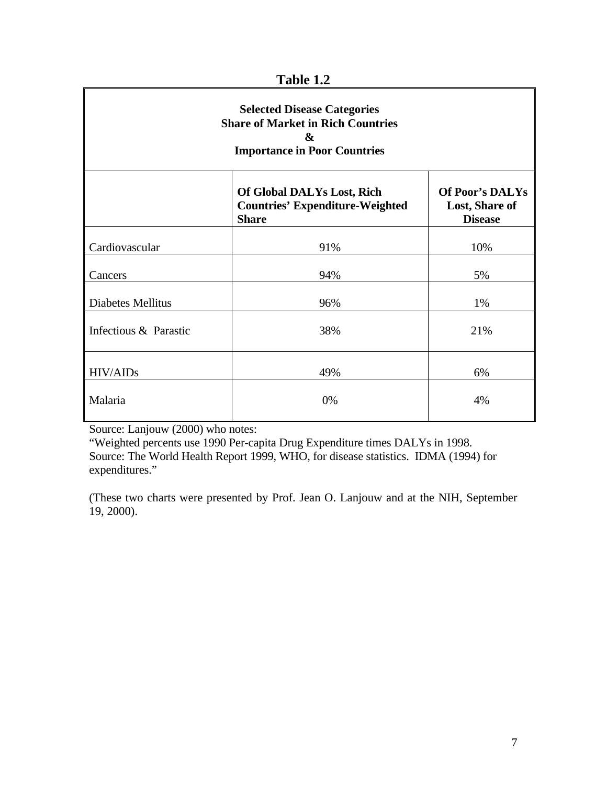| <b>Selected Disease Categories</b><br><b>Share of Market in Rich Countries</b><br>&<br><b>Importance in Poor Countries</b> |                                                                                      |                                                            |  |
|----------------------------------------------------------------------------------------------------------------------------|--------------------------------------------------------------------------------------|------------------------------------------------------------|--|
|                                                                                                                            | Of Global DALYs Lost, Rich<br><b>Countries' Expenditure-Weighted</b><br><b>Share</b> | <b>Of Poor's DALYs</b><br>Lost, Share of<br><b>Disease</b> |  |
| Cardiovascular                                                                                                             | 91%                                                                                  | 10%                                                        |  |
| Cancers                                                                                                                    | 94%                                                                                  | 5%                                                         |  |
| <b>Diabetes Mellitus</b>                                                                                                   | 96%                                                                                  | 1%                                                         |  |
| Infectious & Parastic                                                                                                      | 38%                                                                                  | 21%                                                        |  |
| HIV/AIDs                                                                                                                   | 49%                                                                                  | 6%                                                         |  |
| Malaria                                                                                                                    | 0%                                                                                   | 4%                                                         |  |

**Table 1.2** 

Source: Lanjouw (2000) who notes:

"Weighted percents use 1990 Per-capita Drug Expenditure times DALYs in 1998. Source: The World Health Report 1999, WHO, for disease statistics. IDMA (1994) for expenditures."

(These two charts were presented by Prof. Jean O. Lanjouw and at the NIH, September 19, 2000).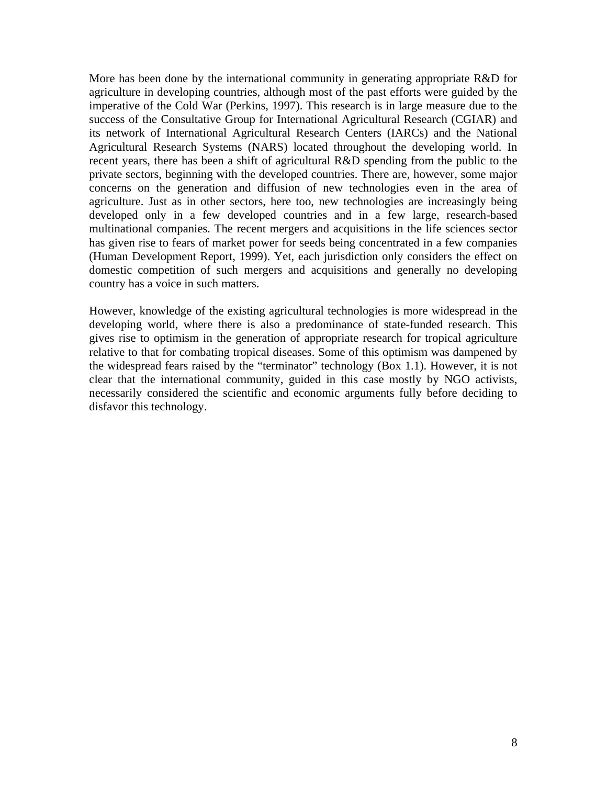More has been done by the international community in generating appropriate R&D for agriculture in developing countries, although most of the past efforts were guided by the imperative of the Cold War (Perkins, 1997). This research is in large measure due to the success of the Consultative Group for International Agricultural Research (CGIAR) and its network of International Agricultural Research Centers (IARCs) and the National Agricultural Research Systems (NARS) located throughout the developing world. In recent years, there has been a shift of agricultural R&D spending from the public to the private sectors, beginning with the developed countries. There are, however, some major concerns on the generation and diffusion of new technologies even in the area of agriculture. Just as in other sectors, here too, new technologies are increasingly being developed only in a few developed countries and in a few large, research-based multinational companies. The recent mergers and acquisitions in the life sciences sector has given rise to fears of market power for seeds being concentrated in a few companies (Human Development Report, 1999). Yet, each jurisdiction only considers the effect on domestic competition of such mergers and acquisitions and generally no developing country has a voice in such matters.

However, knowledge of the existing agricultural technologies is more widespread in the developing world, where there is also a predominance of state-funded research. This gives rise to optimism in the generation of appropriate research for tropical agriculture relative to that for combating tropical diseases. Some of this optimism was dampened by the widespread fears raised by the "terminator" technology (Box 1.1). However, it is not clear that the international community, guided in this case mostly by NGO activists, necessarily considered the scientific and economic arguments fully before deciding to disfavor this technology.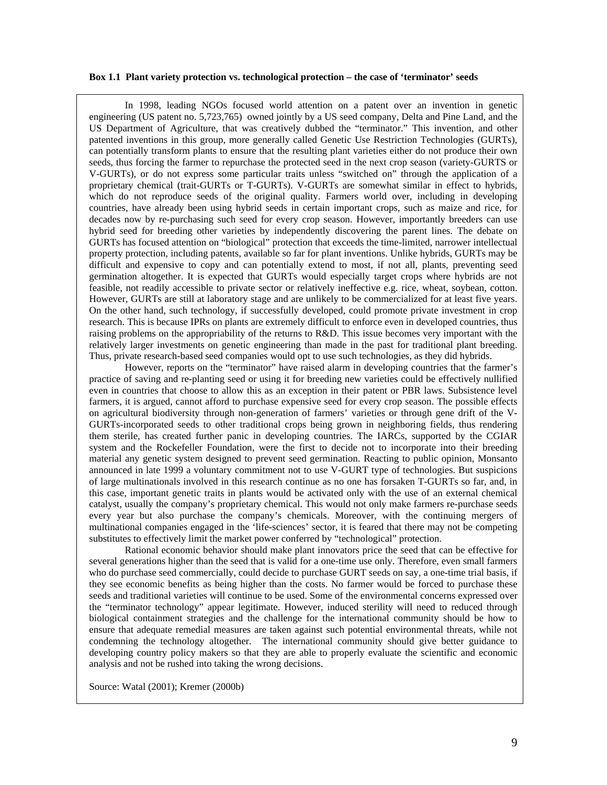#### **Box 1.1 Plant variety protection vs. technological protection – the case of 'terminator' seeds**

In 1998, leading NGOs focused world attention on a patent over an invention in genetic engineering (US patent no. 5,723,765) owned jointly by a US seed company, Delta and Pine Land, and the US Department of Agriculture, that was creatively dubbed the "terminator." This invention, and other patented inventions in this group, more generally called Genetic Use Restriction Technologies (GURTs), can potentially transform plants to ensure that the resulting plant varieties either do not produce their own seeds, thus forcing the farmer to repurchase the protected seed in the next crop season (variety-GURTS or V-GURTs), or do not express some particular traits unless "switched on" through the application of a proprietary chemical (trait-GURTs or T-GURTs). V-GURTs are somewhat similar in effect to hybrids, which do not reproduce seeds of the original quality. Farmers world over, including in developing countries, have already been using hybrid seeds in certain important crops, such as maize and rice, for decades now by re-purchasing such seed for every crop season. However, importantly breeders can use hybrid seed for breeding other varieties by independently discovering the parent lines. The debate on GURTs has focused attention on "biological" protection that exceeds the time-limited, narrower intellectual property protection, including patents, available so far for plant inventions. Unlike hybrids, GURTs may be difficult and expensive to copy and can potentially extend to most, if not all, plants, preventing seed germination altogether. It is expected that GURTs would especially target crops where hybrids are not feasible, not readily accessible to private sector or relatively ineffective e.g. rice, wheat, soybean, cotton. However, GURTs are still at laboratory stage and are unlikely to be commercialized for at least five years. On the other hand, such technology, if successfully developed, could promote private investment in crop research. This is because IPRs on plants are extremely difficult to enforce even in developed countries, thus raising problems on the appropriability of the returns to R&D. This issue becomes very important with the relatively larger investments on genetic engineering than made in the past for traditional plant breeding. Thus, private research-based seed companies would opt to use such technologies, as they did hybrids.

However, reports on the "terminator" have raised alarm in developing countries that the farmer's practice of saving and re-planting seed or using it for breeding new varieties could be effectively nullified even in countries that choose to allow this as an exception in their patent or PBR laws. Subsistence level farmers, it is argued, cannot afford to purchase expensive seed for every crop season. The possible effects on agricultural biodiversity through non-generation of farmers' varieties or through gene drift of the V-GURTs-incorporated seeds to other traditional crops being grown in neighboring fields, thus rendering them sterile, has created further panic in developing countries. The IARCs, supported by the CGIAR system and the Rockefeller Foundation, were the first to decide not to incorporate into their breeding material any genetic system designed to prevent seed germination. Reacting to public opinion, Monsanto announced in late 1999 a voluntary commitment not to use V-GURT type of technologies. But suspicions of large multinationals involved in this research continue as no one has forsaken T-GURTs so far, and, in this case, important genetic traits in plants would be activated only with the use of an external chemical catalyst, usually the company's proprietary chemical. This would not only make farmers re-purchase seeds every year but also purchase the company's chemicals. Moreover, with the continuing mergers of multinational companies engaged in the 'life-sciences' sector, it is feared that there may not be competing substitutes to effectively limit the market power conferred by "technological" protection.

Rational economic behavior should make plant innovators price the seed that can be effective for several generations higher than the seed that is valid for a one-time use only. Therefore, even small farmers who do purchase seed commercially, could decide to purchase GURT seeds on say, a one-time trial basis, if they see economic benefits as being higher than the costs. No farmer would be forced to purchase these seeds and traditional varieties will continue to be used. Some of the environmental concerns expressed over the "terminator technology" appear legitimate. However, induced sterility will need to reduced through biological containment strategies and the challenge for the international community should be how to ensure that adequate remedial measures are taken against such potential environmental threats, while not condemning the technology altogether. The international community should give better guidance to developing country policy makers so that they are able to properly evaluate the scientific and economic analysis and not be rushed into taking the wrong decisions.

Source: Watal (2001); Kremer (2000b)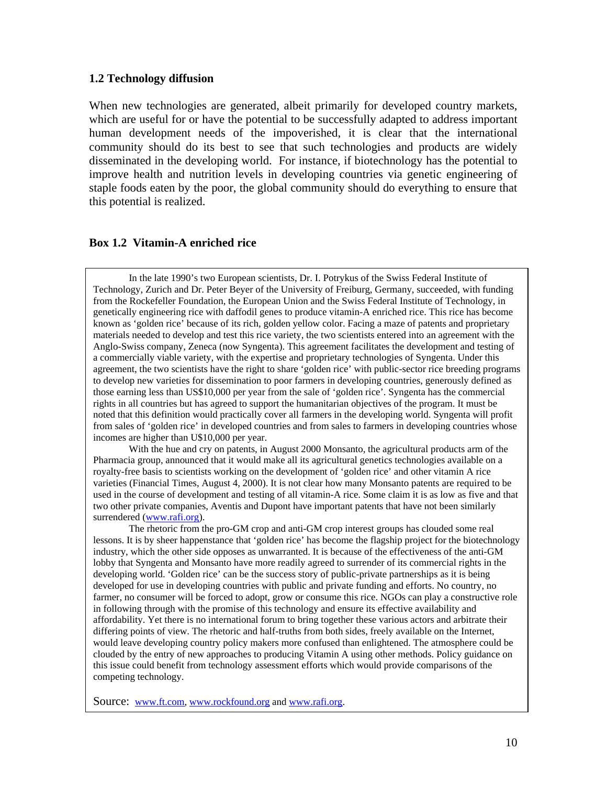### **1.2 Technology diffusion**

When new technologies are generated, albeit primarily for developed country markets, which are useful for or have the potential to be successfully adapted to address important human development needs of the impoverished, it is clear that the international community should do its best to see that such technologies and products are widely disseminated in the developing world. For instance, if biotechnology has the potential to improve health and nutrition levels in developing countries via genetic engineering of staple foods eaten by the poor, the global community should do everything to ensure that this potential is realized.

## **Box 1.2 Vitamin-A enriched rice**

In the late 1990's two European scientists, Dr. I. Potrykus of the Swiss Federal Institute of Technology, Zurich and Dr. Peter Beyer of the University of Freiburg, Germany, succeeded, with funding from the Rockefeller Foundation, the European Union and the Swiss Federal Institute of Technology, in genetically engineering rice with daffodil genes to produce vitamin-A enriched rice. This rice has become known as 'golden rice' because of its rich, golden yellow color. Facing a maze of patents and proprietary materials needed to develop and test this rice variety, the two scientists entered into an agreement with the Anglo-Swiss company, Zeneca (now Syngenta). This agreement facilitates the development and testing of a commercially viable variety, with the expertise and proprietary technologies of Syngenta. Under this agreement, the two scientists have the right to share 'golden rice' with public-sector rice breeding programs to develop new varieties for dissemination to poor farmers in developing countries, generously defined as those earning less than US\$10,000 per year from the sale of 'golden rice'. Syngenta has the commercial rights in all countries but has agreed to support the humanitarian objectives of the program. It must be noted that this definition would practically cover all farmers in the developing world. Syngenta will profit from sales of 'golden rice' in developed countries and from sales to farmers in developing countries whose incomes are higher than U\$10,000 per year.

With the hue and cry on patents, in August 2000 Monsanto, the agricultural products arm of the Pharmacia group, announced that it would make all its agricultural genetics technologies available on a royalty-free basis to scientists working on the development of 'golden rice' and other vitamin A rice varieties (Financial Times, August 4, 2000). It is not clear how many Monsanto patents are required to be used in the course of development and testing of all vitamin-A rice. Some claim it is as low as five and that two other private companies, Aventis and Dupont have important patents that have not been similarly surrendered (www.rafi.org).

The rhetoric from the pro-GM crop and anti-GM crop interest groups has clouded some real lessons. It is by sheer happenstance that 'golden rice' has become the flagship project for the biotechnology industry, which the other side opposes as unwarranted. It is because of the effectiveness of the anti-GM lobby that Syngenta and Monsanto have more readily agreed to surrender of its commercial rights in the developing world. 'Golden rice' can be the success story of public-private partnerships as it is being developed for use in developing countries with public and private funding and efforts. No country, no farmer, no consumer will be forced to adopt, grow or consume this rice. NGOs can play a constructive role in following through with the promise of this technology and ensure its effective availability and affordability. Yet there is no international forum to bring together these various actors and arbitrate their differing points of view. The rhetoric and half-truths from both sides, freely available on the Internet, would leave developing country policy makers more confused than enlightened. The atmosphere could be clouded by the entry of new approaches to producing Vitamin A using other methods. Policy guidance on this issue could benefit from technology assessment efforts which would provide comparisons of the competing technology.

Source: www.ft.com, www.rockfound.org and www.rafi.org.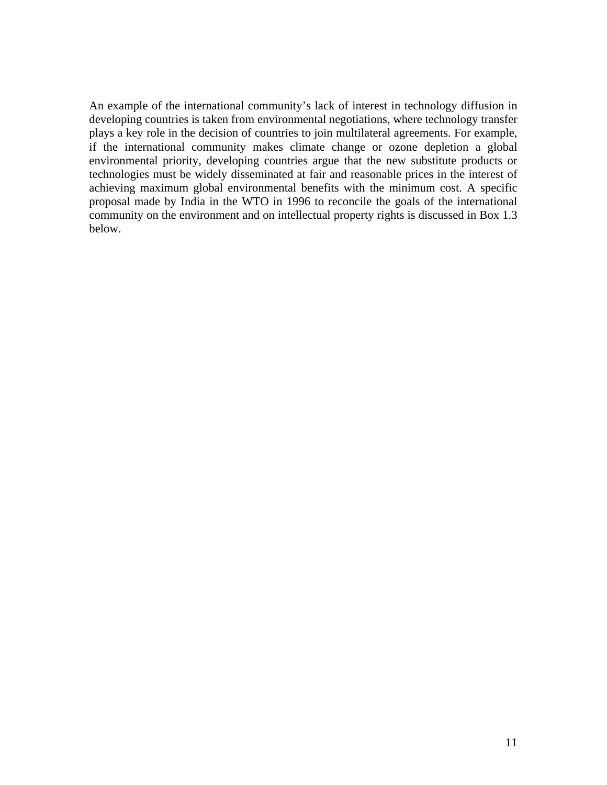An example of the international community's lack of interest in technology diffusion in developing countries is taken from environmental negotiations, where technology transfer plays a key role in the decision of countries to join multilateral agreements. For example, if the international community makes climate change or ozone depletion a global environmental priority, developing countries argue that the new substitute products or technologies must be widely disseminated at fair and reasonable prices in the interest of achieving maximum global environmental benefits with the minimum cost. A specific proposal made by India in the WTO in 1996 to reconcile the goals of the international community on the environment and on intellectual property rights is discussed in Box 1.3 below.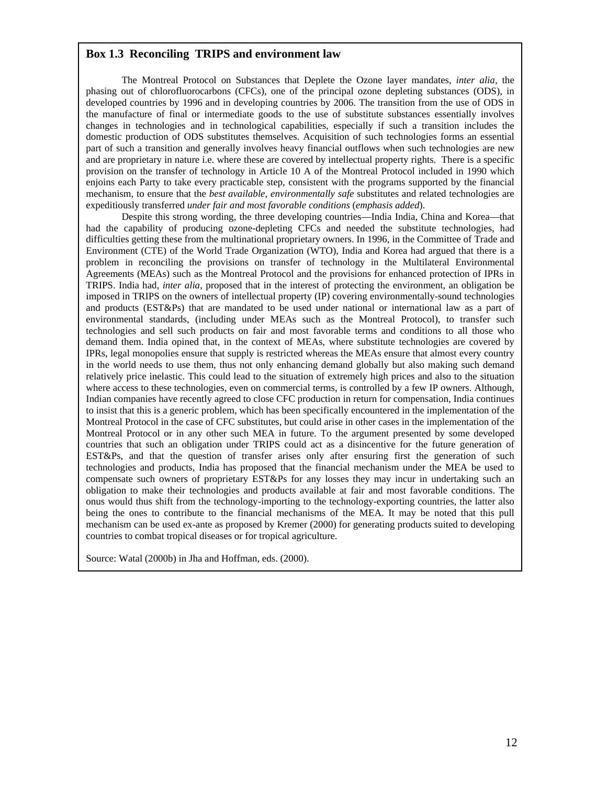### **Box 1.3 Reconciling TRIPS and environment law**

The Montreal Protocol on Substances that Deplete the Ozone layer mandates, *inter alia*, the phasing out of chlorofluorocarbons (CFCs), one of the principal ozone depleting substances (ODS), in developed countries by 1996 and in developing countries by 2006. The transition from the use of ODS in the manufacture of final or intermediate goods to the use of substitute substances essentially involves changes in technologies and in technological capabilities, especially if such a transition includes the domestic production of ODS substitutes themselves. Acquisition of such technologies forms an essential part of such a transition and generally involves heavy financial outflows when such technologies are new and are proprietary in nature i.e. where these are covered by intellectual property rights. There is a specific provision on the transfer of technology in Article 10 A of the Montreal Protocol included in 1990 which enjoins each Party to take every practicable step, consistent with the programs supported by the financial mechanism, to ensure that the *best available, environmentally safe* substitutes and related technologies are expeditiously transferred *under fair and most favorable conditions* (*emphasis added*).

Despite this strong wording, the three developing countries—India India, China and Korea—that had the capability of producing ozone-depleting CFCs and needed the substitute technologies, had difficulties getting these from the multinational proprietary owners. In 1996, in the Committee of Trade and Environment (CTE) of the World Trade Organization (WTO), India and Korea had argued that there is a problem in reconciling the provisions on transfer of technology in the Multilateral Environmental Agreements (MEAs) such as the Montreal Protocol and the provisions for enhanced protection of IPRs in TRIPS. India had, *inter alia*, proposed that in the interest of protecting the environment, an obligation be imposed in TRIPS on the owners of intellectual property (IP) covering environmentally-sound technologies and products (EST&Ps) that are mandated to be used under national or international law as a part of environmental standards, (including under MEAs such as the Montreal Protocol), to transfer such technologies and sell such products on fair and most favorable terms and conditions to all those who demand them. India opined that, in the context of MEAs, where substitute technologies are covered by IPRs, legal monopolies ensure that supply is restricted whereas the MEAs ensure that almost every country in the world needs to use them, thus not only enhancing demand globally but also making such demand relatively price inelastic. This could lead to the situation of extremely high prices and also to the situation where access to these technologies, even on commercial terms, is controlled by a few IP owners. Although, Indian companies have recently agreed to close CFC production in return for compensation, India continues to insist that this is a generic problem, which has been specifically encountered in the implementation of the Montreal Protocol in the case of CFC substitutes, but could arise in other cases in the implementation of the Montreal Protocol or in any other such MEA in future. To the argument presented by some developed countries that such an obligation under TRIPS could act as a disincentive for the future generation of EST&Ps, and that the question of transfer arises only after ensuring first the generation of such technologies and products, India has proposed that the financial mechanism under the MEA be used to compensate such owners of proprietary EST&Ps for any losses they may incur in undertaking such an obligation to make their technologies and products available at fair and most favorable conditions. The onus would thus shift from the technology-importing to the technology-exporting countries, the latter also being the ones to contribute to the financial mechanisms of the MEA. It may be noted that this pull mechanism can be used ex-ante as proposed by Kremer (2000) for generating products suited to developing countries to combat tropical diseases or for tropical agriculture.

Source: Watal (2000b) in Jha and Hoffman, eds. (2000).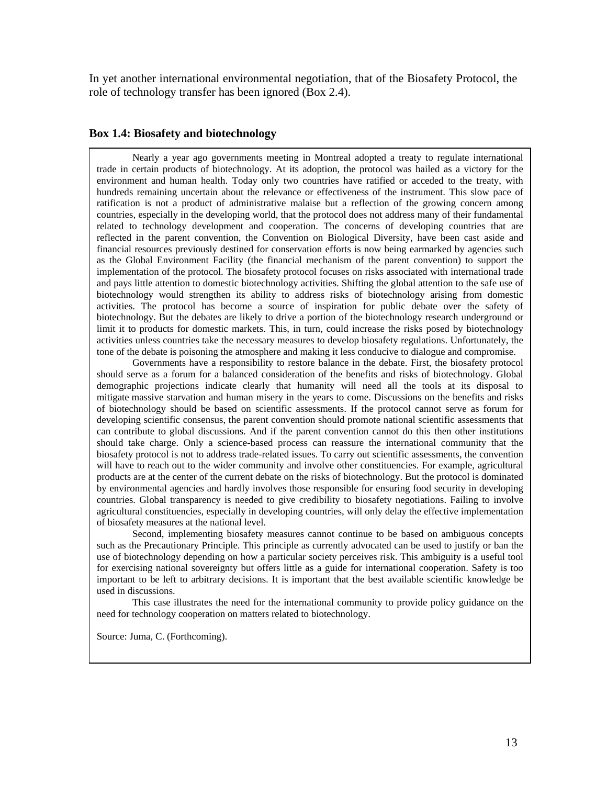In yet another international environmental negotiation, that of the Biosafety Protocol, the role of technology transfer has been ignored (Box 2.4).

### **Box 1.4: Biosafety and biotechnology**

Nearly a year ago governments meeting in Montreal adopted a treaty to regulate international trade in certain products of biotechnology. At its adoption, the protocol was hailed as a victory for the environment and human health. Today only two countries have ratified or acceded to the treaty, with hundreds remaining uncertain about the relevance or effectiveness of the instrument. This slow pace of ratification is not a product of administrative malaise but a reflection of the growing concern among countries, especially in the developing world, that the protocol does not address many of their fundamental related to technology development and cooperation. The concerns of developing countries that are reflected in the parent convention, the Convention on Biological Diversity, have been cast aside and financial resources previously destined for conservation efforts is now being earmarked by agencies such as the Global Environment Facility (the financial mechanism of the parent convention) to support the implementation of the protocol. The biosafety protocol focuses on risks associated with international trade and pays little attention to domestic biotechnology activities. Shifting the global attention to the safe use of biotechnology would strengthen its ability to address risks of biotechnology arising from domestic activities. The protocol has become a source of inspiration for public debate over the safety of biotechnology. But the debates are likely to drive a portion of the biotechnology research underground or limit it to products for domestic markets. This, in turn, could increase the risks posed by biotechnology activities unless countries take the necessary measures to develop biosafety regulations. Unfortunately, the tone of the debate is poisoning the atmosphere and making it less conducive to dialogue and compromise.

Governments have a responsibility to restore balance in the debate. First, the biosafety protocol should serve as a forum for a balanced consideration of the benefits and risks of biotechnology. Global demographic projections indicate clearly that humanity will need all the tools at its disposal to mitigate massive starvation and human misery in the years to come. Discussions on the benefits and risks of biotechnology should be based on scientific assessments. If the protocol cannot serve as forum for developing scientific consensus, the parent convention should promote national scientific assessments that can contribute to global discussions. And if the parent convention cannot do this then other institutions should take charge. Only a science-based process can reassure the international community that the biosafety protocol is not to address trade-related issues. To carry out scientific assessments, the convention will have to reach out to the wider community and involve other constituencies. For example, agricultural products are at the center of the current debate on the risks of biotechnology. But the protocol is dominated by environmental agencies and hardly involves those responsible for ensuring food security in developing countries. Global transparency is needed to give credibility to biosafety negotiations. Failing to involve agricultural constituencies, especially in developing countries, will only delay the effective implementation of biosafety measures at the national level.

Second, implementing biosafety measures cannot continue to be based on ambiguous concepts such as the Precautionary Principle. This principle as currently advocated can be used to justify or ban the use of biotechnology depending on how a particular society perceives risk. This ambiguity is a useful tool for exercising national sovereignty but offers little as a guide for international cooperation. Safety is too important to be left to arbitrary decisions. It is important that the best available scientific knowledge be used in discussions.

This case illustrates the need for the international community to provide policy guidance on the need for technology cooperation on matters related to biotechnology.

Source: Juma, C. (Forthcoming).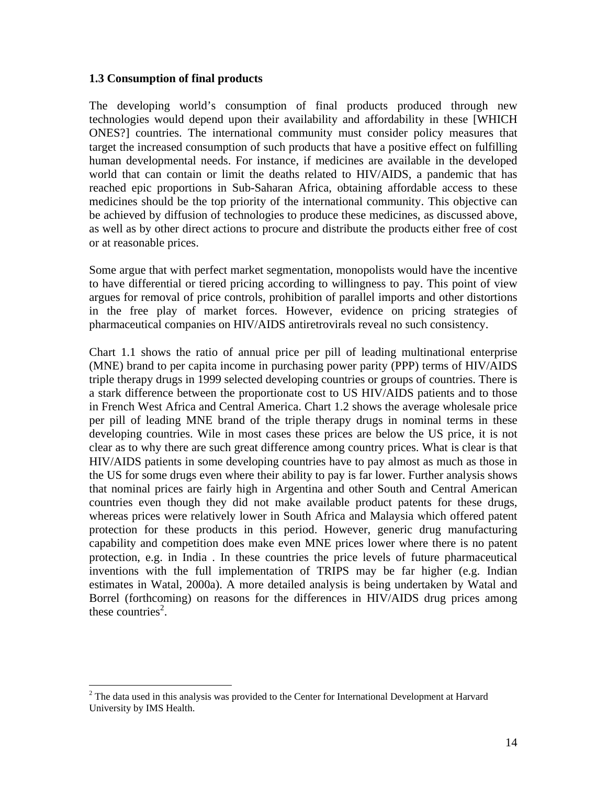## **1.3 Consumption of final products**

The developing world's consumption of final products produced through new technologies would depend upon their availability and affordability in these [WHICH ONES?] countries. The international community must consider policy measures that target the increased consumption of such products that have a positive effect on fulfilling human developmental needs. For instance, if medicines are available in the developed world that can contain or limit the deaths related to HIV/AIDS, a pandemic that has reached epic proportions in Sub-Saharan Africa, obtaining affordable access to these medicines should be the top priority of the international community. This objective can be achieved by diffusion of technologies to produce these medicines, as discussed above, as well as by other direct actions to procure and distribute the products either free of cost or at reasonable prices.

Some argue that with perfect market segmentation, monopolists would have the incentive to have differential or tiered pricing according to willingness to pay. This point of view argues for removal of price controls, prohibition of parallel imports and other distortions in the free play of market forces. However, evidence on pricing strategies of pharmaceutical companies on HIV/AIDS antiretrovirals reveal no such consistency.

Chart 1.1 shows the ratio of annual price per pill of leading multinational enterprise (MNE) brand to per capita income in purchasing power parity (PPP) terms of HIV/AIDS triple therapy drugs in 1999 selected developing countries or groups of countries. There is a stark difference between the proportionate cost to US HIV/AIDS patients and to those in French West Africa and Central America. Chart 1.2 shows the average wholesale price per pill of leading MNE brand of the triple therapy drugs in nominal terms in these developing countries. Wile in most cases these prices are below the US price, it is not clear as to why there are such great difference among country prices. What is clear is that HIV/AIDS patients in some developing countries have to pay almost as much as those in the US for some drugs even where their ability to pay is far lower. Further analysis shows that nominal prices are fairly high in Argentina and other South and Central American countries even though they did not make available product patents for these drugs, whereas prices were relatively lower in South Africa and Malaysia which offered patent protection for these products in this period. However, generic drug manufacturing capability and competition does make even MNE prices lower where there is no patent protection, e.g. in India . In these countries the price levels of future pharmaceutical inventions with the full implementation of TRIPS may be far higher (e.g. Indian estimates in Watal, 2000a). A more detailed analysis is being undertaken by Watal and Borrel (forthcoming) on reasons for the differences in HIV/AIDS drug prices among these countries<sup>2</sup>.

 $\overline{a}$ 

 $2^2$  The data used in this analysis was provided to the Center for International Development at Harvard University by IMS Health.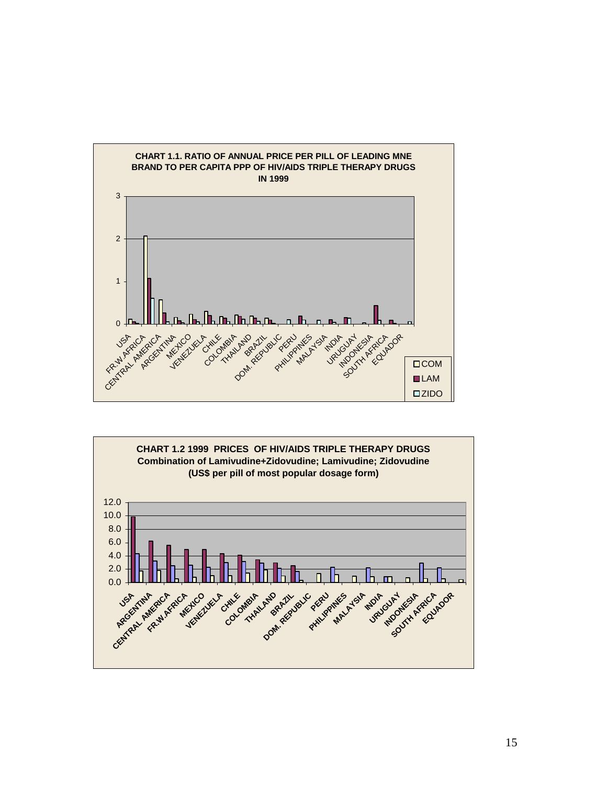

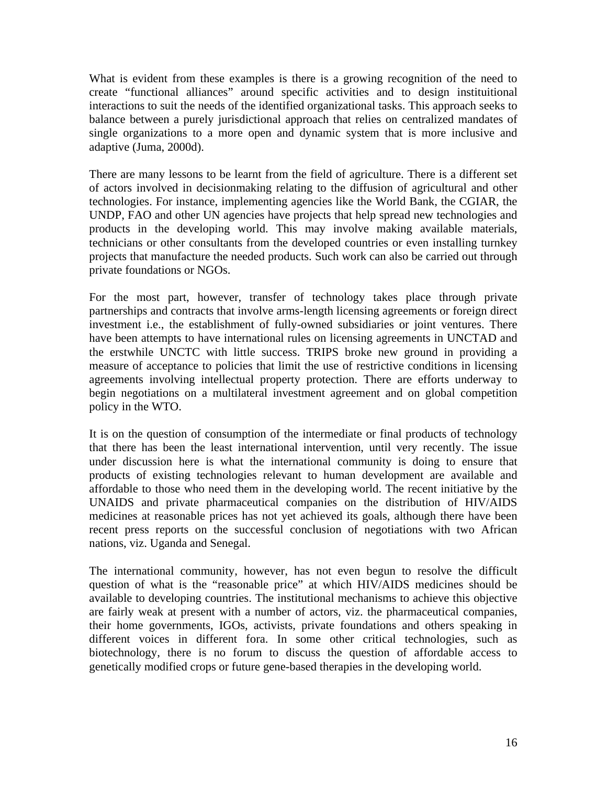What is evident from these examples is there is a growing recognition of the need to create "functional alliances" around specific activities and to design instituitional interactions to suit the needs of the identified organizational tasks. This approach seeks to balance between a purely jurisdictional approach that relies on centralized mandates of single organizations to a more open and dynamic system that is more inclusive and adaptive (Juma, 2000d).

There are many lessons to be learnt from the field of agriculture. There is a different set of actors involved in decisionmaking relating to the diffusion of agricultural and other technologies. For instance, implementing agencies like the World Bank, the CGIAR, the UNDP, FAO and other UN agencies have projects that help spread new technologies and products in the developing world. This may involve making available materials, technicians or other consultants from the developed countries or even installing turnkey projects that manufacture the needed products. Such work can also be carried out through private foundations or NGOs.

For the most part, however, transfer of technology takes place through private partnerships and contracts that involve arms-length licensing agreements or foreign direct investment i.e., the establishment of fully-owned subsidiaries or joint ventures. There have been attempts to have international rules on licensing agreements in UNCTAD and the erstwhile UNCTC with little success. TRIPS broke new ground in providing a measure of acceptance to policies that limit the use of restrictive conditions in licensing agreements involving intellectual property protection. There are efforts underway to begin negotiations on a multilateral investment agreement and on global competition policy in the WTO.

It is on the question of consumption of the intermediate or final products of technology that there has been the least international intervention, until very recently. The issue under discussion here is what the international community is doing to ensure that products of existing technologies relevant to human development are available and affordable to those who need them in the developing world. The recent initiative by the UNAIDS and private pharmaceutical companies on the distribution of HIV/AIDS medicines at reasonable prices has not yet achieved its goals, although there have been recent press reports on the successful conclusion of negotiations with two African nations, viz. Uganda and Senegal.

The international community, however, has not even begun to resolve the difficult question of what is the "reasonable price" at which HIV/AIDS medicines should be available to developing countries. The institutional mechanisms to achieve this objective are fairly weak at present with a number of actors, viz. the pharmaceutical companies, their home governments, IGOs, activists, private foundations and others speaking in different voices in different fora. In some other critical technologies, such as biotechnology, there is no forum to discuss the question of affordable access to genetically modified crops or future gene-based therapies in the developing world.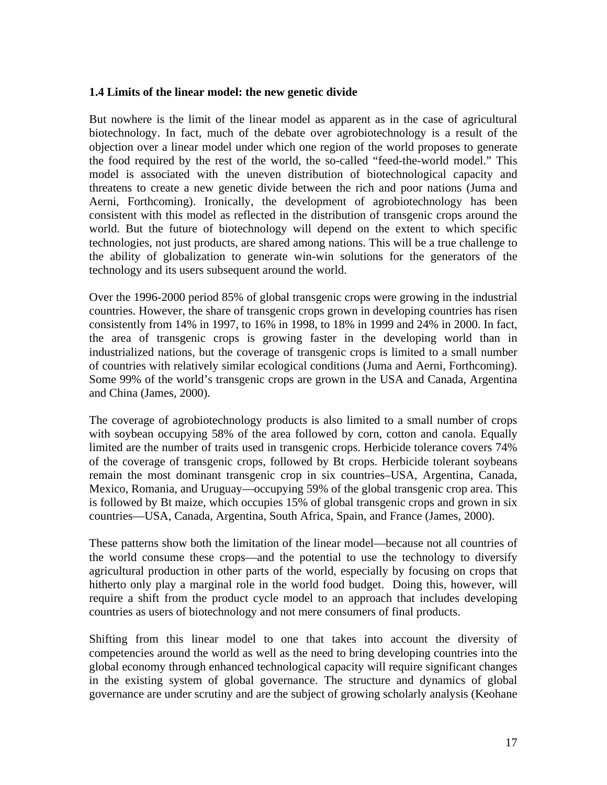## **1.4 Limits of the linear model: the new genetic divide**

But nowhere is the limit of the linear model as apparent as in the case of agricultural biotechnology. In fact, much of the debate over agrobiotechnology is a result of the objection over a linear model under which one region of the world proposes to generate the food required by the rest of the world, the so-called "feed-the-world model." This model is associated with the uneven distribution of biotechnological capacity and threatens to create a new genetic divide between the rich and poor nations (Juma and Aerni, Forthcoming). Ironically, the development of agrobiotechnology has been consistent with this model as reflected in the distribution of transgenic crops around the world. But the future of biotechnology will depend on the extent to which specific technologies, not just products, are shared among nations. This will be a true challenge to the ability of globalization to generate win-win solutions for the generators of the technology and its users subsequent around the world.

Over the 1996-2000 period 85% of global transgenic crops were growing in the industrial countries. However, the share of transgenic crops grown in developing countries has risen consistently from 14% in 1997, to 16% in 1998, to 18% in 1999 and 24% in 2000. In fact, the area of transgenic crops is growing faster in the developing world than in industrialized nations, but the coverage of transgenic crops is limited to a small number of countries with relatively similar ecological conditions (Juma and Aerni, Forthcoming). Some 99% of the world's transgenic crops are grown in the USA and Canada, Argentina and China (James, 2000).

The coverage of agrobiotechnology products is also limited to a small number of crops with soybean occupying 58% of the area followed by corn, cotton and canola. Equally limited are the number of traits used in transgenic crops. Herbicide tolerance covers 74% of the coverage of transgenic crops, followed by Bt crops. Herbicide tolerant soybeans remain the most dominant transgenic crop in six countries–USA, Argentina, Canada, Mexico, Romania, and Uruguay—occupying 59% of the global transgenic crop area. This is followed by Bt maize, which occupies 15% of global transgenic crops and grown in six countries—USA, Canada, Argentina, South Africa, Spain, and France (James, 2000).

These patterns show both the limitation of the linear model—because not all countries of the world consume these crops—and the potential to use the technology to diversify agricultural production in other parts of the world, especially by focusing on crops that hitherto only play a marginal role in the world food budget. Doing this, however, will require a shift from the product cycle model to an approach that includes developing countries as users of biotechnology and not mere consumers of final products.

Shifting from this linear model to one that takes into account the diversity of competencies around the world as well as the need to bring developing countries into the global economy through enhanced technological capacity will require significant changes in the existing system of global governance. The structure and dynamics of global governance are under scrutiny and are the subject of growing scholarly analysis (Keohane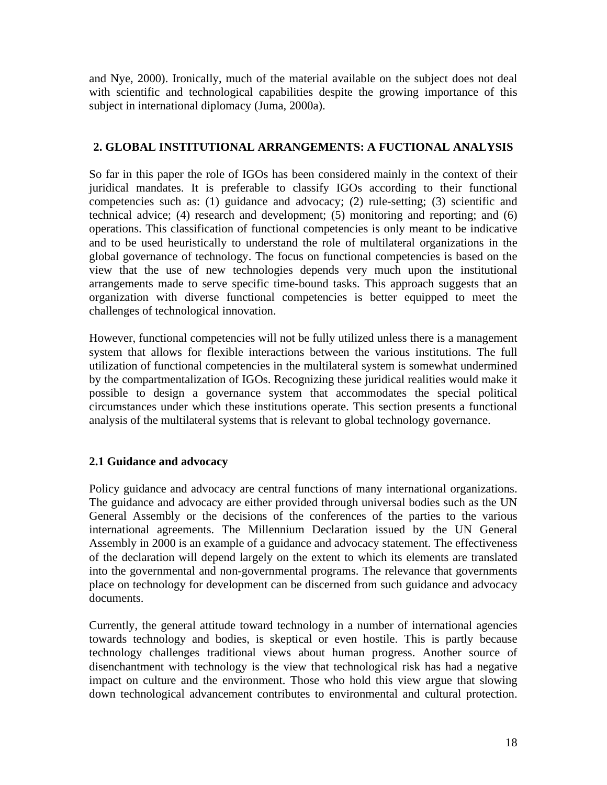and Nye, 2000). Ironically, much of the material available on the subject does not deal with scientific and technological capabilities despite the growing importance of this subject in international diplomacy (Juma, 2000a).

# **2. GLOBAL INSTITUTIONAL ARRANGEMENTS: A FUCTIONAL ANALYSIS**

So far in this paper the role of IGOs has been considered mainly in the context of their juridical mandates. It is preferable to classify IGOs according to their functional competencies such as: (1) guidance and advocacy; (2) rule-setting; (3) scientific and technical advice; (4) research and development; (5) monitoring and reporting; and (6) operations. This classification of functional competencies is only meant to be indicative and to be used heuristically to understand the role of multilateral organizations in the global governance of technology. The focus on functional competencies is based on the view that the use of new technologies depends very much upon the institutional arrangements made to serve specific time-bound tasks. This approach suggests that an organization with diverse functional competencies is better equipped to meet the challenges of technological innovation.

However, functional competencies will not be fully utilized unless there is a management system that allows for flexible interactions between the various institutions. The full utilization of functional competencies in the multilateral system is somewhat undermined by the compartmentalization of IGOs. Recognizing these juridical realities would make it possible to design a governance system that accommodates the special political circumstances under which these institutions operate. This section presents a functional analysis of the multilateral systems that is relevant to global technology governance.

# **2.1 Guidance and advocacy**

Policy guidance and advocacy are central functions of many international organizations. The guidance and advocacy are either provided through universal bodies such as the UN General Assembly or the decisions of the conferences of the parties to the various international agreements. The Millennium Declaration issued by the UN General Assembly in 2000 is an example of a guidance and advocacy statement. The effectiveness of the declaration will depend largely on the extent to which its elements are translated into the governmental and non-governmental programs. The relevance that governments place on technology for development can be discerned from such guidance and advocacy documents.

Currently, the general attitude toward technology in a number of international agencies towards technology and bodies, is skeptical or even hostile. This is partly because technology challenges traditional views about human progress. Another source of disenchantment with technology is the view that technological risk has had a negative impact on culture and the environment. Those who hold this view argue that slowing down technological advancement contributes to environmental and cultural protection.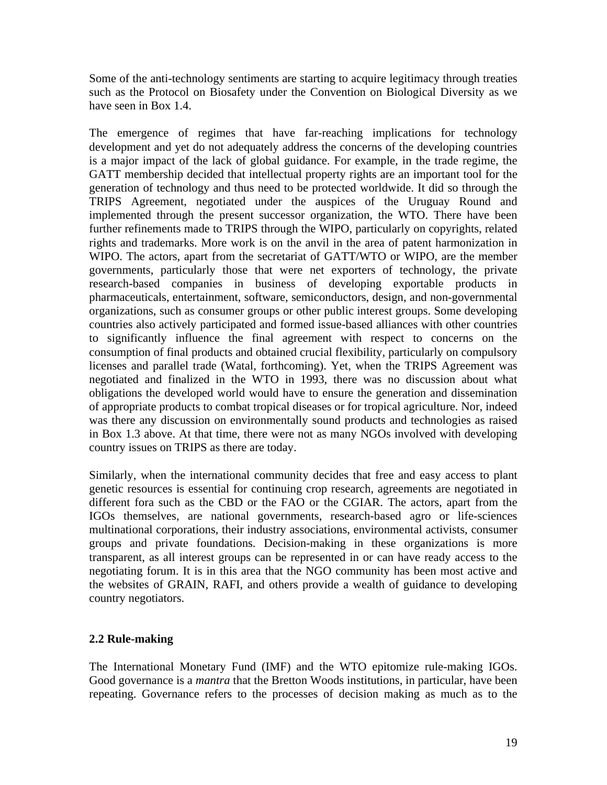Some of the anti-technology sentiments are starting to acquire legitimacy through treaties such as the Protocol on Biosafety under the Convention on Biological Diversity as we have seen in Box 1.4.

The emergence of regimes that have far-reaching implications for technology development and yet do not adequately address the concerns of the developing countries is a major impact of the lack of global guidance. For example, in the trade regime, the GATT membership decided that intellectual property rights are an important tool for the generation of technology and thus need to be protected worldwide. It did so through the TRIPS Agreement, negotiated under the auspices of the Uruguay Round and implemented through the present successor organization, the WTO. There have been further refinements made to TRIPS through the WIPO, particularly on copyrights, related rights and trademarks. More work is on the anvil in the area of patent harmonization in WIPO. The actors, apart from the secretariat of GATT/WTO or WIPO, are the member governments, particularly those that were net exporters of technology, the private research-based companies in business of developing exportable products in pharmaceuticals, entertainment, software, semiconductors, design, and non-governmental organizations, such as consumer groups or other public interest groups. Some developing countries also actively participated and formed issue-based alliances with other countries to significantly influence the final agreement with respect to concerns on the consumption of final products and obtained crucial flexibility, particularly on compulsory licenses and parallel trade (Watal, forthcoming). Yet, when the TRIPS Agreement was negotiated and finalized in the WTO in 1993, there was no discussion about what obligations the developed world would have to ensure the generation and dissemination of appropriate products to combat tropical diseases or for tropical agriculture. Nor, indeed was there any discussion on environmentally sound products and technologies as raised in Box 1.3 above. At that time, there were not as many NGOs involved with developing country issues on TRIPS as there are today.

Similarly, when the international community decides that free and easy access to plant genetic resources is essential for continuing crop research, agreements are negotiated in different fora such as the CBD or the FAO or the CGIAR. The actors, apart from the IGOs themselves, are national governments, research-based agro or life-sciences multinational corporations, their industry associations, environmental activists, consumer groups and private foundations. Decision-making in these organizations is more transparent, as all interest groups can be represented in or can have ready access to the negotiating forum. It is in this area that the NGO community has been most active and the websites of GRAIN, RAFI, and others provide a wealth of guidance to developing country negotiators.

# **2.2 Rule-making**

The International Monetary Fund (IMF) and the WTO epitomize rule-making IGOs. Good governance is a *mantra* that the Bretton Woods institutions, in particular, have been repeating. Governance refers to the processes of decision making as much as to the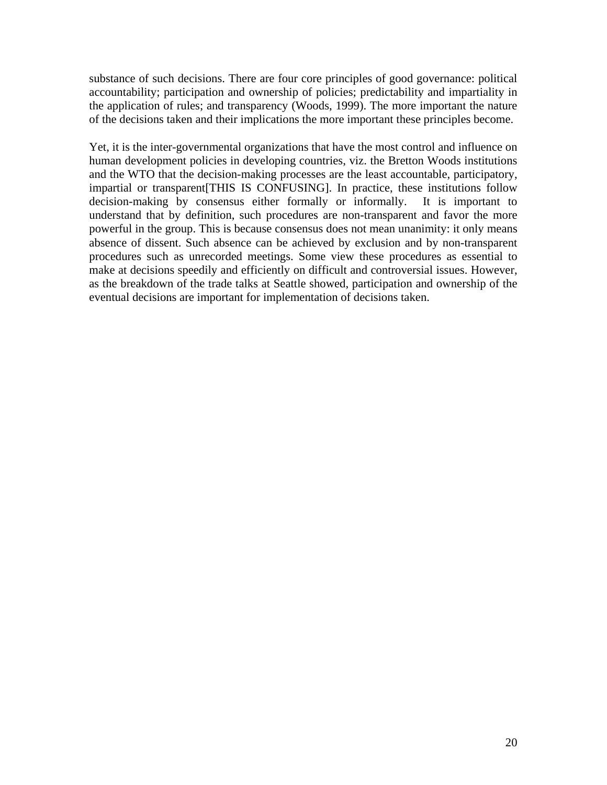substance of such decisions. There are four core principles of good governance: political accountability; participation and ownership of policies; predictability and impartiality in the application of rules; and transparency (Woods, 1999). The more important the nature of the decisions taken and their implications the more important these principles become.

Yet, it is the inter-governmental organizations that have the most control and influence on human development policies in developing countries, viz. the Bretton Woods institutions and the WTO that the decision-making processes are the least accountable, participatory, impartial or transparent[THIS IS CONFUSING]. In practice, these institutions follow decision-making by consensus either formally or informally. It is important to understand that by definition, such procedures are non-transparent and favor the more powerful in the group. This is because consensus does not mean unanimity: it only means absence of dissent. Such absence can be achieved by exclusion and by non-transparent procedures such as unrecorded meetings. Some view these procedures as essential to make at decisions speedily and efficiently on difficult and controversial issues. However, as the breakdown of the trade talks at Seattle showed, participation and ownership of the eventual decisions are important for implementation of decisions taken.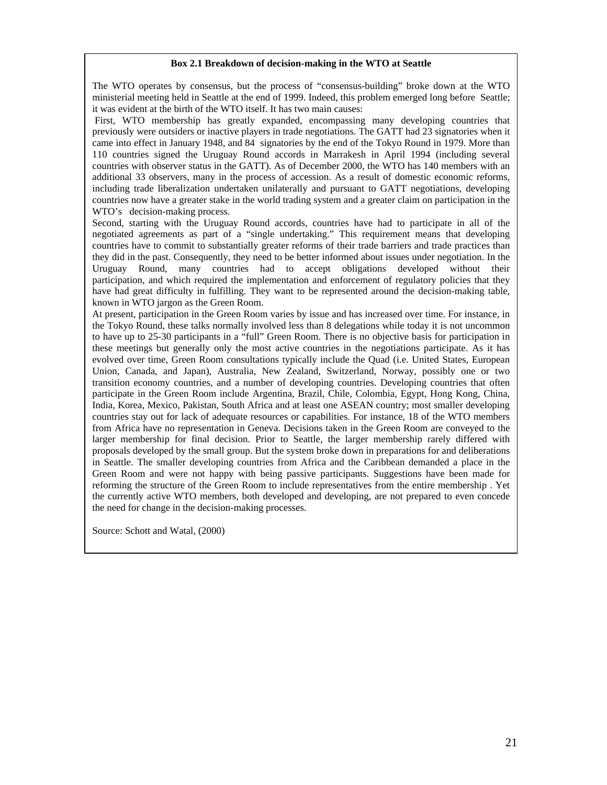#### **Box 2.1 Breakdown of decision-making in the WTO at Seattle**

The WTO operates by consensus, but the process of "consensus-building" broke down at the WTO ministerial meeting held in Seattle at the end of 1999. Indeed, this problem emerged long before Seattle; it was evident at the birth of the WTO itself. It has two main causes:

 First, WTO membership has greatly expanded, encompassing many developing countries that previously were outsiders or inactive players in trade negotiations. The GATT had 23 signatories when it came into effect in January 1948, and 84 signatories by the end of the Tokyo Round in 1979. More than 110 countries signed the Uruguay Round accords in Marrakesh in April 1994 (including several countries with observer status in the GATT). As of December 2000, the WTO has 140 members with an additional 33 observers, many in the process of accession. As a result of domestic economic reforms, including trade liberalization undertaken unilaterally and pursuant to GATT negotiations, developing countries now have a greater stake in the world trading system and a greater claim on participation in the WTO's decision-making process.

Second, starting with the Uruguay Round accords, countries have had to participate in all of the negotiated agreements as part of a "single undertaking." This requirement means that developing countries have to commit to substantially greater reforms of their trade barriers and trade practices than they did in the past. Consequently, they need to be better informed about issues under negotiation. In the Uruguay Round, many countries had to accept obligations developed without their participation, and which required the implementation and enforcement of regulatory policies that they have had great difficulty in fulfilling. They want to be represented around the decision-making table, known in WTO jargon as the Green Room.

At present, participation in the Green Room varies by issue and has increased over time. For instance, in the Tokyo Round, these talks normally involved less than 8 delegations while today it is not uncommon to have up to 25-30 participants in a "full" Green Room. There is no objective basis for participation in these meetings but generally only the most active countries in the negotiations participate. As it has evolved over time, Green Room consultations typically include the Quad (i.e. United States, European Union, Canada, and Japan), Australia, New Zealand, Switzerland, Norway, possibly one or two transition economy countries, and a number of developing countries. Developing countries that often participate in the Green Room include Argentina, Brazil, Chile, Colombia, Egypt, Hong Kong, China, India, Korea, Mexico, Pakistan, South Africa and at least one ASEAN country; most smaller developing countries stay out for lack of adequate resources or capabilities. For instance, 18 of the WTO members from Africa have no representation in Geneva. Decisions taken in the Green Room are conveyed to the larger membership for final decision. Prior to Seattle, the larger membership rarely differed with proposals developed by the small group. But the system broke down in preparations for and deliberations in Seattle. The smaller developing countries from Africa and the Caribbean demanded a place in the Green Room and were not happy with being passive participants. Suggestions have been made for reforming the structure of the Green Room to include representatives from the entire membership . Yet the currently active WTO members, both developed and developing, are not prepared to even concede the need for change in the decision-making processes.

Source: Schott and Watal, (2000)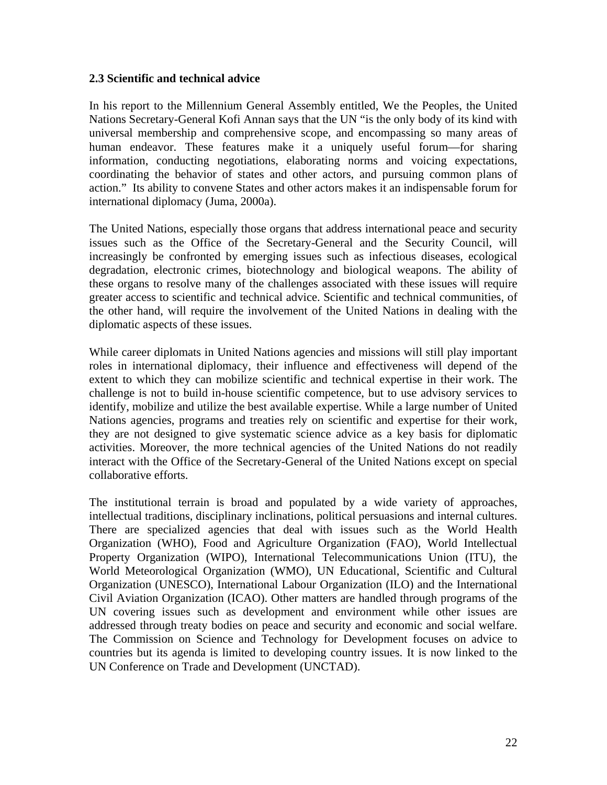## **2.3 Scientific and technical advice**

In his report to the Millennium General Assembly entitled, We the Peoples, the United Nations Secretary-General Kofi Annan says that the UN "is the only body of its kind with universal membership and comprehensive scope, and encompassing so many areas of human endeavor. These features make it a uniquely useful forum—for sharing information, conducting negotiations, elaborating norms and voicing expectations, coordinating the behavior of states and other actors, and pursuing common plans of action." Its ability to convene States and other actors makes it an indispensable forum for international diplomacy (Juma, 2000a).

The United Nations, especially those organs that address international peace and security issues such as the Office of the Secretary-General and the Security Council, will increasingly be confronted by emerging issues such as infectious diseases, ecological degradation, electronic crimes, biotechnology and biological weapons. The ability of these organs to resolve many of the challenges associated with these issues will require greater access to scientific and technical advice. Scientific and technical communities, of the other hand, will require the involvement of the United Nations in dealing with the diplomatic aspects of these issues.

While career diplomats in United Nations agencies and missions will still play important roles in international diplomacy, their influence and effectiveness will depend of the extent to which they can mobilize scientific and technical expertise in their work. The challenge is not to build in-house scientific competence, but to use advisory services to identify, mobilize and utilize the best available expertise. While a large number of United Nations agencies, programs and treaties rely on scientific and expertise for their work, they are not designed to give systematic science advice as a key basis for diplomatic activities. Moreover, the more technical agencies of the United Nations do not readily interact with the Office of the Secretary-General of the United Nations except on special collaborative efforts.

The institutional terrain is broad and populated by a wide variety of approaches, intellectual traditions, disciplinary inclinations, political persuasions and internal cultures. There are specialized agencies that deal with issues such as the World Health Organization (WHO), Food and Agriculture Organization (FAO), World Intellectual Property Organization (WIPO), International Telecommunications Union (ITU), the World Meteorological Organization (WMO), UN Educational, Scientific and Cultural Organization (UNESCO), International Labour Organization (ILO) and the International Civil Aviation Organization (ICAO). Other matters are handled through programs of the UN covering issues such as development and environment while other issues are addressed through treaty bodies on peace and security and economic and social welfare. The Commission on Science and Technology for Development focuses on advice to countries but its agenda is limited to developing country issues. It is now linked to the UN Conference on Trade and Development (UNCTAD).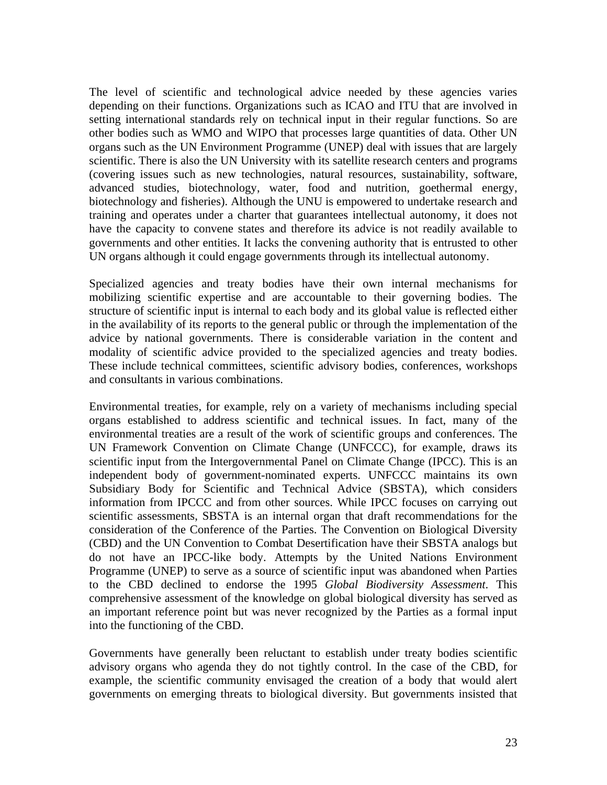The level of scientific and technological advice needed by these agencies varies depending on their functions. Organizations such as ICAO and ITU that are involved in setting international standards rely on technical input in their regular functions. So are other bodies such as WMO and WIPO that processes large quantities of data. Other UN organs such as the UN Environment Programme (UNEP) deal with issues that are largely scientific. There is also the UN University with its satellite research centers and programs (covering issues such as new technologies, natural resources, sustainability, software, advanced studies, biotechnology, water, food and nutrition, goethermal energy, biotechnology and fisheries). Although the UNU is empowered to undertake research and training and operates under a charter that guarantees intellectual autonomy, it does not have the capacity to convene states and therefore its advice is not readily available to governments and other entities. It lacks the convening authority that is entrusted to other UN organs although it could engage governments through its intellectual autonomy.

Specialized agencies and treaty bodies have their own internal mechanisms for mobilizing scientific expertise and are accountable to their governing bodies. The structure of scientific input is internal to each body and its global value is reflected either in the availability of its reports to the general public or through the implementation of the advice by national governments. There is considerable variation in the content and modality of scientific advice provided to the specialized agencies and treaty bodies. These include technical committees, scientific advisory bodies, conferences, workshops and consultants in various combinations.

Environmental treaties, for example, rely on a variety of mechanisms including special organs established to address scientific and technical issues. In fact, many of the environmental treaties are a result of the work of scientific groups and conferences. The UN Framework Convention on Climate Change (UNFCCC), for example, draws its scientific input from the Intergovernmental Panel on Climate Change (IPCC). This is an independent body of government-nominated experts. UNFCCC maintains its own Subsidiary Body for Scientific and Technical Advice (SBSTA), which considers information from IPCCC and from other sources. While IPCC focuses on carrying out scientific assessments, SBSTA is an internal organ that draft recommendations for the consideration of the Conference of the Parties. The Convention on Biological Diversity (CBD) and the UN Convention to Combat Desertification have their SBSTA analogs but do not have an IPCC-like body. Attempts by the United Nations Environment Programme (UNEP) to serve as a source of scientific input was abandoned when Parties to the CBD declined to endorse the 1995 *Global Biodiversity Assessment*. This comprehensive assessment of the knowledge on global biological diversity has served as an important reference point but was never recognized by the Parties as a formal input into the functioning of the CBD.

Governments have generally been reluctant to establish under treaty bodies scientific advisory organs who agenda they do not tightly control. In the case of the CBD, for example, the scientific community envisaged the creation of a body that would alert governments on emerging threats to biological diversity. But governments insisted that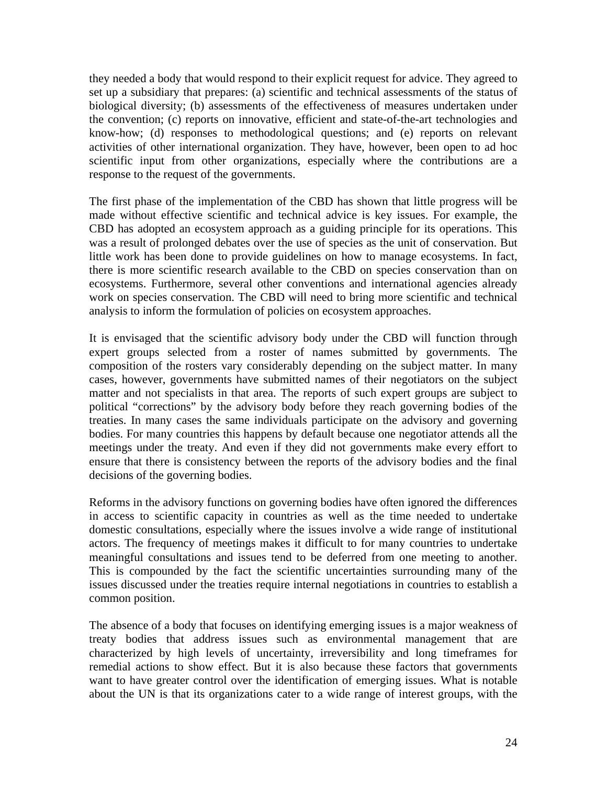they needed a body that would respond to their explicit request for advice. They agreed to set up a subsidiary that prepares: (a) scientific and technical assessments of the status of biological diversity; (b) assessments of the effectiveness of measures undertaken under the convention; (c) reports on innovative, efficient and state-of-the-art technologies and know-how; (d) responses to methodological questions; and (e) reports on relevant activities of other international organization. They have, however, been open to ad hoc scientific input from other organizations, especially where the contributions are a response to the request of the governments.

The first phase of the implementation of the CBD has shown that little progress will be made without effective scientific and technical advice is key issues. For example, the CBD has adopted an ecosystem approach as a guiding principle for its operations. This was a result of prolonged debates over the use of species as the unit of conservation. But little work has been done to provide guidelines on how to manage ecosystems. In fact, there is more scientific research available to the CBD on species conservation than on ecosystems. Furthermore, several other conventions and international agencies already work on species conservation. The CBD will need to bring more scientific and technical analysis to inform the formulation of policies on ecosystem approaches.

It is envisaged that the scientific advisory body under the CBD will function through expert groups selected from a roster of names submitted by governments. The composition of the rosters vary considerably depending on the subject matter. In many cases, however, governments have submitted names of their negotiators on the subject matter and not specialists in that area. The reports of such expert groups are subject to political "corrections" by the advisory body before they reach governing bodies of the treaties. In many cases the same individuals participate on the advisory and governing bodies. For many countries this happens by default because one negotiator attends all the meetings under the treaty. And even if they did not governments make every effort to ensure that there is consistency between the reports of the advisory bodies and the final decisions of the governing bodies.

Reforms in the advisory functions on governing bodies have often ignored the differences in access to scientific capacity in countries as well as the time needed to undertake domestic consultations, especially where the issues involve a wide range of institutional actors. The frequency of meetings makes it difficult to for many countries to undertake meaningful consultations and issues tend to be deferred from one meeting to another. This is compounded by the fact the scientific uncertainties surrounding many of the issues discussed under the treaties require internal negotiations in countries to establish a common position.

The absence of a body that focuses on identifying emerging issues is a major weakness of treaty bodies that address issues such as environmental management that are characterized by high levels of uncertainty, irreversibility and long timeframes for remedial actions to show effect. But it is also because these factors that governments want to have greater control over the identification of emerging issues. What is notable about the UN is that its organizations cater to a wide range of interest groups, with the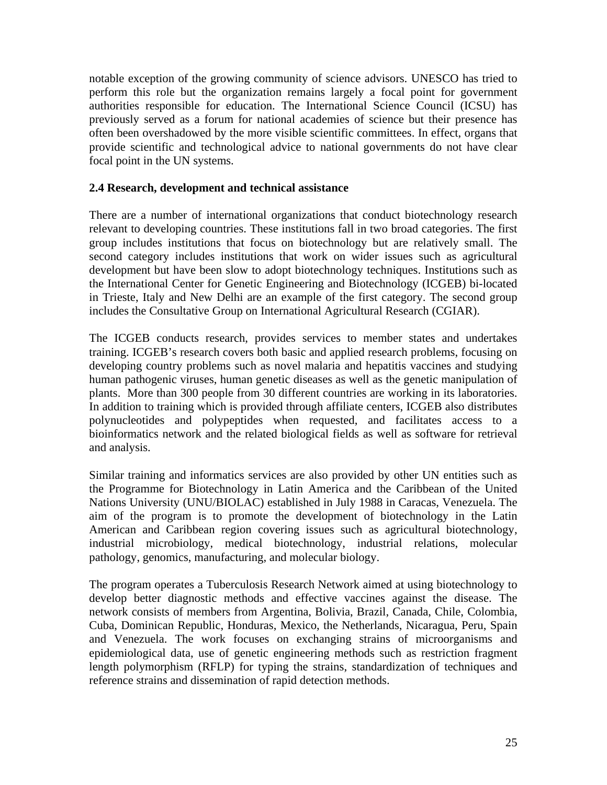notable exception of the growing community of science advisors. UNESCO has tried to perform this role but the organization remains largely a focal point for government authorities responsible for education. The International Science Council (ICSU) has previously served as a forum for national academies of science but their presence has often been overshadowed by the more visible scientific committees. In effect, organs that provide scientific and technological advice to national governments do not have clear focal point in the UN systems.

## **2.4 Research, development and technical assistance**

There are a number of international organizations that conduct biotechnology research relevant to developing countries. These institutions fall in two broad categories. The first group includes institutions that focus on biotechnology but are relatively small. The second category includes institutions that work on wider issues such as agricultural development but have been slow to adopt biotechnology techniques. Institutions such as the International Center for Genetic Engineering and Biotechnology (ICGEB) bi-located in Trieste, Italy and New Delhi are an example of the first category. The second group includes the Consultative Group on International Agricultural Research (CGIAR).

The ICGEB conducts research, provides services to member states and undertakes training. ICGEB's research covers both basic and applied research problems, focusing on developing country problems such as novel malaria and hepatitis vaccines and studying human pathogenic viruses, human genetic diseases as well as the genetic manipulation of plants. More than 300 people from 30 different countries are working in its laboratories. In addition to training which is provided through affiliate centers, ICGEB also distributes polynucleotides and polypeptides when requested, and facilitates access to a bioinformatics network and the related biological fields as well as software for retrieval and analysis.

Similar training and informatics services are also provided by other UN entities such as the Programme for Biotechnology in Latin America and the Caribbean of the United Nations University (UNU/BIOLAC) established in July 1988 in Caracas, Venezuela. The aim of the program is to promote the development of biotechnology in the Latin American and Caribbean region covering issues such as agricultural biotechnology, industrial microbiology, medical biotechnology, industrial relations, molecular pathology, genomics, manufacturing, and molecular biology.

The program operates a Tuberculosis Research Network aimed at using biotechnology to develop better diagnostic methods and effective vaccines against the disease. The network consists of members from Argentina, Bolivia, Brazil, Canada, Chile, Colombia, Cuba, Dominican Republic, Honduras, Mexico, the Netherlands, Nicaragua, Peru, Spain and Venezuela. The work focuses on exchanging strains of microorganisms and epidemiological data, use of genetic engineering methods such as restriction fragment length polymorphism (RFLP) for typing the strains, standardization of techniques and reference strains and dissemination of rapid detection methods.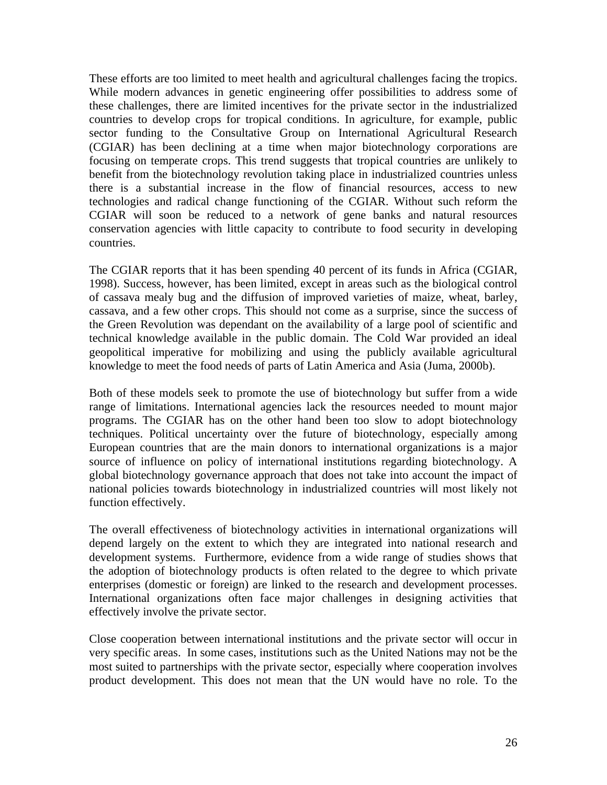These efforts are too limited to meet health and agricultural challenges facing the tropics. While modern advances in genetic engineering offer possibilities to address some of these challenges, there are limited incentives for the private sector in the industrialized countries to develop crops for tropical conditions. In agriculture, for example, public sector funding to the Consultative Group on International Agricultural Research (CGIAR) has been declining at a time when major biotechnology corporations are focusing on temperate crops. This trend suggests that tropical countries are unlikely to benefit from the biotechnology revolution taking place in industrialized countries unless there is a substantial increase in the flow of financial resources, access to new technologies and radical change functioning of the CGIAR. Without such reform the CGIAR will soon be reduced to a network of gene banks and natural resources conservation agencies with little capacity to contribute to food security in developing countries.

The CGIAR reports that it has been spending 40 percent of its funds in Africa (CGIAR, 1998). Success, however, has been limited, except in areas such as the biological control of cassava mealy bug and the diffusion of improved varieties of maize, wheat, barley, cassava, and a few other crops. This should not come as a surprise, since the success of the Green Revolution was dependant on the availability of a large pool of scientific and technical knowledge available in the public domain. The Cold War provided an ideal geopolitical imperative for mobilizing and using the publicly available agricultural knowledge to meet the food needs of parts of Latin America and Asia (Juma, 2000b).

Both of these models seek to promote the use of biotechnology but suffer from a wide range of limitations. International agencies lack the resources needed to mount major programs. The CGIAR has on the other hand been too slow to adopt biotechnology techniques. Political uncertainty over the future of biotechnology, especially among European countries that are the main donors to international organizations is a major source of influence on policy of international institutions regarding biotechnology. A global biotechnology governance approach that does not take into account the impact of national policies towards biotechnology in industrialized countries will most likely not function effectively.

The overall effectiveness of biotechnology activities in international organizations will depend largely on the extent to which they are integrated into national research and development systems. Furthermore, evidence from a wide range of studies shows that the adoption of biotechnology products is often related to the degree to which private enterprises (domestic or foreign) are linked to the research and development processes. International organizations often face major challenges in designing activities that effectively involve the private sector.

Close cooperation between international institutions and the private sector will occur in very specific areas. In some cases, institutions such as the United Nations may not be the most suited to partnerships with the private sector, especially where cooperation involves product development. This does not mean that the UN would have no role. To the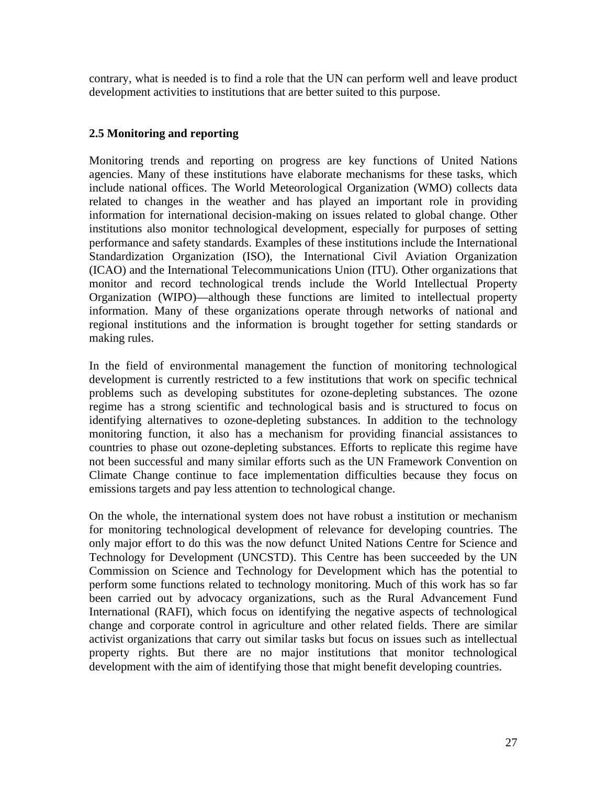contrary, what is needed is to find a role that the UN can perform well and leave product development activities to institutions that are better suited to this purpose.

# **2.5 Monitoring and reporting**

Monitoring trends and reporting on progress are key functions of United Nations agencies. Many of these institutions have elaborate mechanisms for these tasks, which include national offices. The World Meteorological Organization (WMO) collects data related to changes in the weather and has played an important role in providing information for international decision-making on issues related to global change. Other institutions also monitor technological development, especially for purposes of setting performance and safety standards. Examples of these institutions include the International Standardization Organization (ISO), the International Civil Aviation Organization (ICAO) and the International Telecommunications Union (ITU). Other organizations that monitor and record technological trends include the World Intellectual Property Organization (WIPO)—although these functions are limited to intellectual property information. Many of these organizations operate through networks of national and regional institutions and the information is brought together for setting standards or making rules.

In the field of environmental management the function of monitoring technological development is currently restricted to a few institutions that work on specific technical problems such as developing substitutes for ozone-depleting substances. The ozone regime has a strong scientific and technological basis and is structured to focus on identifying alternatives to ozone-depleting substances. In addition to the technology monitoring function, it also has a mechanism for providing financial assistances to countries to phase out ozone-depleting substances. Efforts to replicate this regime have not been successful and many similar efforts such as the UN Framework Convention on Climate Change continue to face implementation difficulties because they focus on emissions targets and pay less attention to technological change.

On the whole, the international system does not have robust a institution or mechanism for monitoring technological development of relevance for developing countries. The only major effort to do this was the now defunct United Nations Centre for Science and Technology for Development (UNCSTD). This Centre has been succeeded by the UN Commission on Science and Technology for Development which has the potential to perform some functions related to technology monitoring. Much of this work has so far been carried out by advocacy organizations, such as the Rural Advancement Fund International (RAFI), which focus on identifying the negative aspects of technological change and corporate control in agriculture and other related fields. There are similar activist organizations that carry out similar tasks but focus on issues such as intellectual property rights. But there are no major institutions that monitor technological development with the aim of identifying those that might benefit developing countries.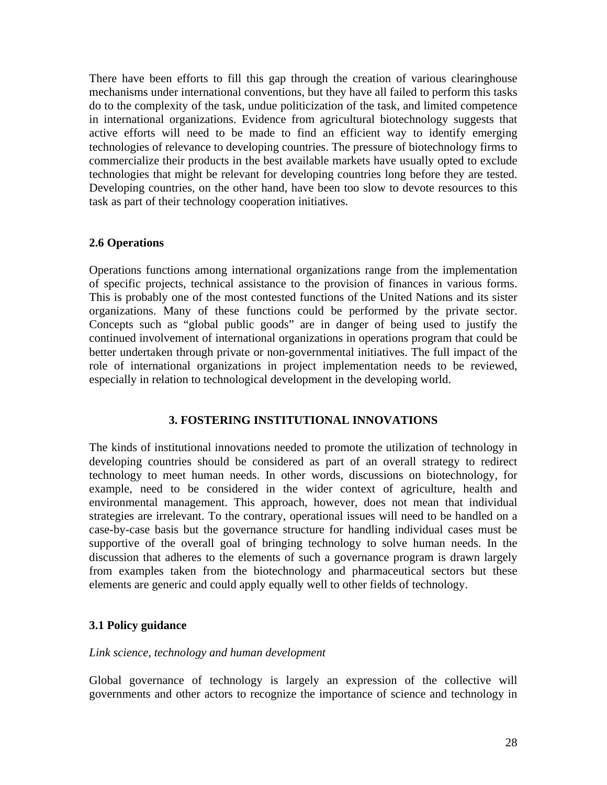There have been efforts to fill this gap through the creation of various clearinghouse mechanisms under international conventions, but they have all failed to perform this tasks do to the complexity of the task, undue politicization of the task, and limited competence in international organizations. Evidence from agricultural biotechnology suggests that active efforts will need to be made to find an efficient way to identify emerging technologies of relevance to developing countries. The pressure of biotechnology firms to commercialize their products in the best available markets have usually opted to exclude technologies that might be relevant for developing countries long before they are tested. Developing countries, on the other hand, have been too slow to devote resources to this task as part of their technology cooperation initiatives.

## **2.6 Operations**

Operations functions among international organizations range from the implementation of specific projects, technical assistance to the provision of finances in various forms. This is probably one of the most contested functions of the United Nations and its sister organizations. Many of these functions could be performed by the private sector. Concepts such as "global public goods" are in danger of being used to justify the continued involvement of international organizations in operations program that could be better undertaken through private or non-governmental initiatives. The full impact of the role of international organizations in project implementation needs to be reviewed, especially in relation to technological development in the developing world.

## **3. FOSTERING INSTITUTIONAL INNOVATIONS**

The kinds of institutional innovations needed to promote the utilization of technology in developing countries should be considered as part of an overall strategy to redirect technology to meet human needs. In other words, discussions on biotechnology, for example, need to be considered in the wider context of agriculture, health and environmental management. This approach, however, does not mean that individual strategies are irrelevant. To the contrary, operational issues will need to be handled on a case-by-case basis but the governance structure for handling individual cases must be supportive of the overall goal of bringing technology to solve human needs. In the discussion that adheres to the elements of such a governance program is drawn largely from examples taken from the biotechnology and pharmaceutical sectors but these elements are generic and could apply equally well to other fields of technology.

## **3.1 Policy guidance**

## *Link science, technology and human development*

Global governance of technology is largely an expression of the collective will governments and other actors to recognize the importance of science and technology in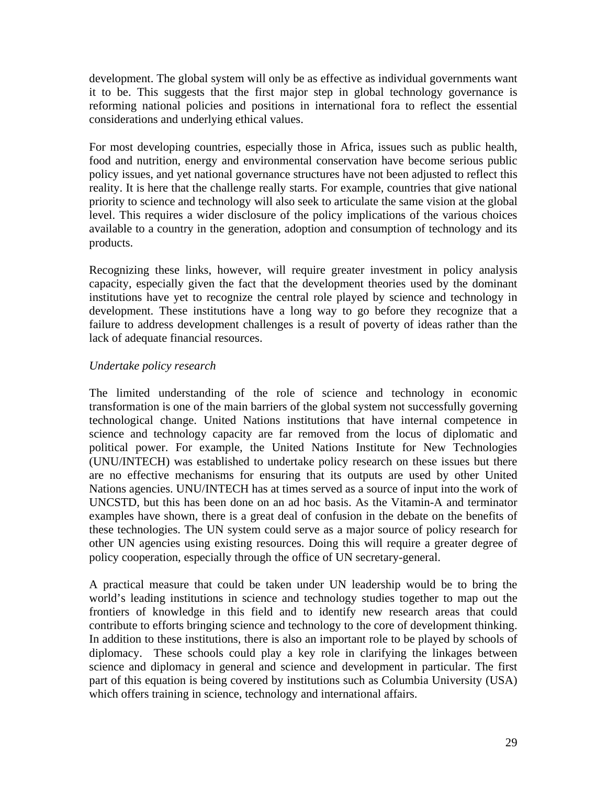development. The global system will only be as effective as individual governments want it to be. This suggests that the first major step in global technology governance is reforming national policies and positions in international fora to reflect the essential considerations and underlying ethical values.

For most developing countries, especially those in Africa, issues such as public health, food and nutrition, energy and environmental conservation have become serious public policy issues, and yet national governance structures have not been adjusted to reflect this reality. It is here that the challenge really starts. For example, countries that give national priority to science and technology will also seek to articulate the same vision at the global level. This requires a wider disclosure of the policy implications of the various choices available to a country in the generation, adoption and consumption of technology and its products.

Recognizing these links, however, will require greater investment in policy analysis capacity, especially given the fact that the development theories used by the dominant institutions have yet to recognize the central role played by science and technology in development. These institutions have a long way to go before they recognize that a failure to address development challenges is a result of poverty of ideas rather than the lack of adequate financial resources.

# *Undertake policy research*

The limited understanding of the role of science and technology in economic transformation is one of the main barriers of the global system not successfully governing technological change. United Nations institutions that have internal competence in science and technology capacity are far removed from the locus of diplomatic and political power. For example, the United Nations Institute for New Technologies (UNU/INTECH) was established to undertake policy research on these issues but there are no effective mechanisms for ensuring that its outputs are used by other United Nations agencies. UNU/INTECH has at times served as a source of input into the work of UNCSTD, but this has been done on an ad hoc basis. As the Vitamin-A and terminator examples have shown, there is a great deal of confusion in the debate on the benefits of these technologies. The UN system could serve as a major source of policy research for other UN agencies using existing resources. Doing this will require a greater degree of policy cooperation, especially through the office of UN secretary-general.

A practical measure that could be taken under UN leadership would be to bring the world's leading institutions in science and technology studies together to map out the frontiers of knowledge in this field and to identify new research areas that could contribute to efforts bringing science and technology to the core of development thinking. In addition to these institutions, there is also an important role to be played by schools of diplomacy. These schools could play a key role in clarifying the linkages between science and diplomacy in general and science and development in particular. The first part of this equation is being covered by institutions such as Columbia University (USA) which offers training in science, technology and international affairs.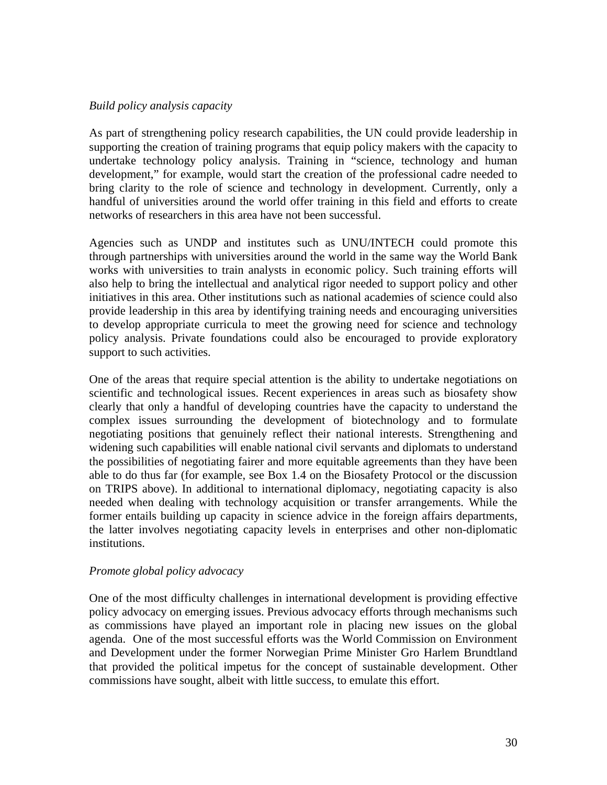# *Build policy analysis capacity*

As part of strengthening policy research capabilities, the UN could provide leadership in supporting the creation of training programs that equip policy makers with the capacity to undertake technology policy analysis. Training in "science, technology and human development," for example, would start the creation of the professional cadre needed to bring clarity to the role of science and technology in development. Currently, only a handful of universities around the world offer training in this field and efforts to create networks of researchers in this area have not been successful.

Agencies such as UNDP and institutes such as UNU/INTECH could promote this through partnerships with universities around the world in the same way the World Bank works with universities to train analysts in economic policy. Such training efforts will also help to bring the intellectual and analytical rigor needed to support policy and other initiatives in this area. Other institutions such as national academies of science could also provide leadership in this area by identifying training needs and encouraging universities to develop appropriate curricula to meet the growing need for science and technology policy analysis. Private foundations could also be encouraged to provide exploratory support to such activities.

One of the areas that require special attention is the ability to undertake negotiations on scientific and technological issues. Recent experiences in areas such as biosafety show clearly that only a handful of developing countries have the capacity to understand the complex issues surrounding the development of biotechnology and to formulate negotiating positions that genuinely reflect their national interests. Strengthening and widening such capabilities will enable national civil servants and diplomats to understand the possibilities of negotiating fairer and more equitable agreements than they have been able to do thus far (for example, see Box 1.4 on the Biosafety Protocol or the discussion on TRIPS above). In additional to international diplomacy, negotiating capacity is also needed when dealing with technology acquisition or transfer arrangements. While the former entails building up capacity in science advice in the foreign affairs departments, the latter involves negotiating capacity levels in enterprises and other non-diplomatic institutions.

## *Promote global policy advocacy*

One of the most difficulty challenges in international development is providing effective policy advocacy on emerging issues. Previous advocacy efforts through mechanisms such as commissions have played an important role in placing new issues on the global agenda. One of the most successful efforts was the World Commission on Environment and Development under the former Norwegian Prime Minister Gro Harlem Brundtland that provided the political impetus for the concept of sustainable development. Other commissions have sought, albeit with little success, to emulate this effort.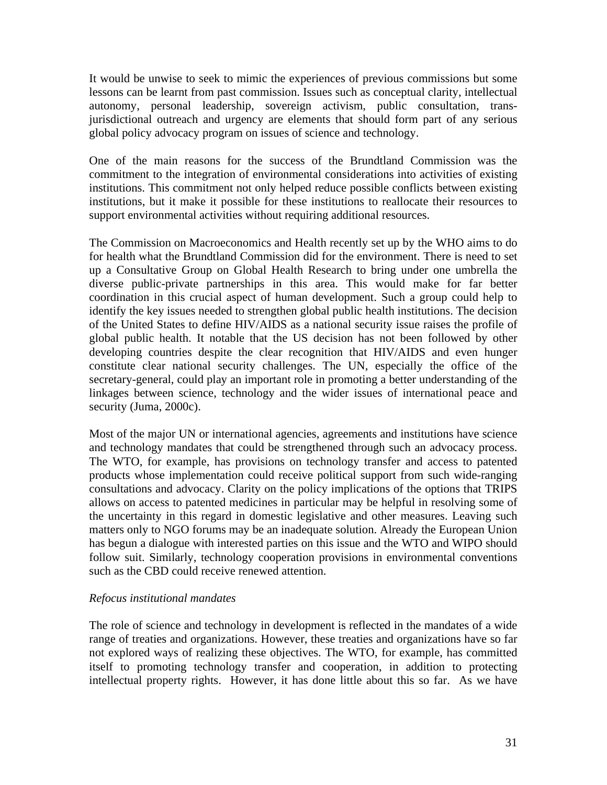It would be unwise to seek to mimic the experiences of previous commissions but some lessons can be learnt from past commission. Issues such as conceptual clarity, intellectual autonomy, personal leadership, sovereign activism, public consultation, transjurisdictional outreach and urgency are elements that should form part of any serious global policy advocacy program on issues of science and technology.

One of the main reasons for the success of the Brundtland Commission was the commitment to the integration of environmental considerations into activities of existing institutions. This commitment not only helped reduce possible conflicts between existing institutions, but it make it possible for these institutions to reallocate their resources to support environmental activities without requiring additional resources.

The Commission on Macroeconomics and Health recently set up by the WHO aims to do for health what the Brundtland Commission did for the environment. There is need to set up a Consultative Group on Global Health Research to bring under one umbrella the diverse public-private partnerships in this area. This would make for far better coordination in this crucial aspect of human development. Such a group could help to identify the key issues needed to strengthen global public health institutions. The decision of the United States to define HIV/AIDS as a national security issue raises the profile of global public health. It notable that the US decision has not been followed by other developing countries despite the clear recognition that HIV/AIDS and even hunger constitute clear national security challenges. The UN, especially the office of the secretary-general, could play an important role in promoting a better understanding of the linkages between science, technology and the wider issues of international peace and security (Juma, 2000c).

Most of the major UN or international agencies, agreements and institutions have science and technology mandates that could be strengthened through such an advocacy process. The WTO, for example, has provisions on technology transfer and access to patented products whose implementation could receive political support from such wide-ranging consultations and advocacy. Clarity on the policy implications of the options that TRIPS allows on access to patented medicines in particular may be helpful in resolving some of the uncertainty in this regard in domestic legislative and other measures. Leaving such matters only to NGO forums may be an inadequate solution. Already the European Union has begun a dialogue with interested parties on this issue and the WTO and WIPO should follow suit. Similarly, technology cooperation provisions in environmental conventions such as the CBD could receive renewed attention.

## *Refocus institutional mandates*

The role of science and technology in development is reflected in the mandates of a wide range of treaties and organizations. However, these treaties and organizations have so far not explored ways of realizing these objectives. The WTO, for example, has committed itself to promoting technology transfer and cooperation, in addition to protecting intellectual property rights. However, it has done little about this so far. As we have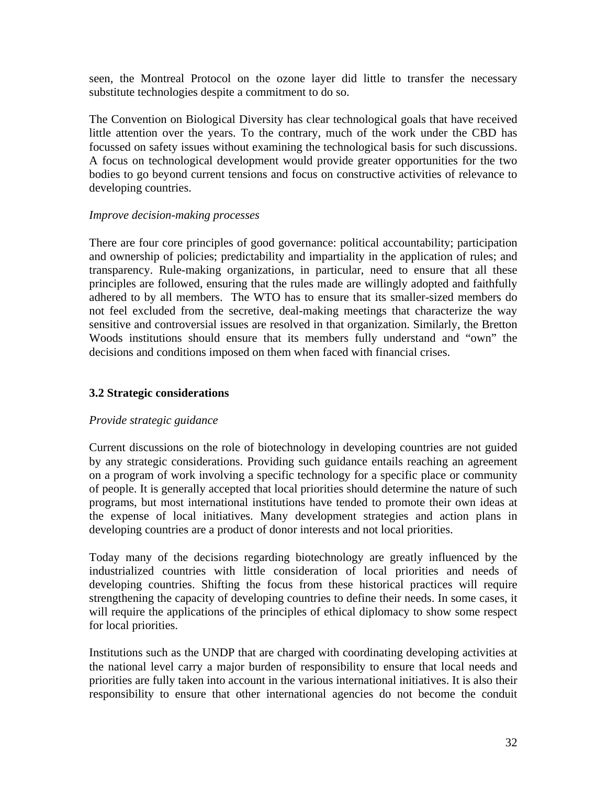seen, the Montreal Protocol on the ozone layer did little to transfer the necessary substitute technologies despite a commitment to do so.

The Convention on Biological Diversity has clear technological goals that have received little attention over the years. To the contrary, much of the work under the CBD has focussed on safety issues without examining the technological basis for such discussions. A focus on technological development would provide greater opportunities for the two bodies to go beyond current tensions and focus on constructive activities of relevance to developing countries.

## *Improve decision-making processes*

There are four core principles of good governance: political accountability; participation and ownership of policies; predictability and impartiality in the application of rules; and transparency. Rule-making organizations, in particular, need to ensure that all these principles are followed, ensuring that the rules made are willingly adopted and faithfully adhered to by all members. The WTO has to ensure that its smaller-sized members do not feel excluded from the secretive, deal-making meetings that characterize the way sensitive and controversial issues are resolved in that organization. Similarly, the Bretton Woods institutions should ensure that its members fully understand and "own" the decisions and conditions imposed on them when faced with financial crises.

# **3.2 Strategic considerations**

# *Provide strategic guidance*

Current discussions on the role of biotechnology in developing countries are not guided by any strategic considerations. Providing such guidance entails reaching an agreement on a program of work involving a specific technology for a specific place or community of people. It is generally accepted that local priorities should determine the nature of such programs, but most international institutions have tended to promote their own ideas at the expense of local initiatives. Many development strategies and action plans in developing countries are a product of donor interests and not local priorities.

Today many of the decisions regarding biotechnology are greatly influenced by the industrialized countries with little consideration of local priorities and needs of developing countries. Shifting the focus from these historical practices will require strengthening the capacity of developing countries to define their needs. In some cases, it will require the applications of the principles of ethical diplomacy to show some respect for local priorities.

Institutions such as the UNDP that are charged with coordinating developing activities at the national level carry a major burden of responsibility to ensure that local needs and priorities are fully taken into account in the various international initiatives. It is also their responsibility to ensure that other international agencies do not become the conduit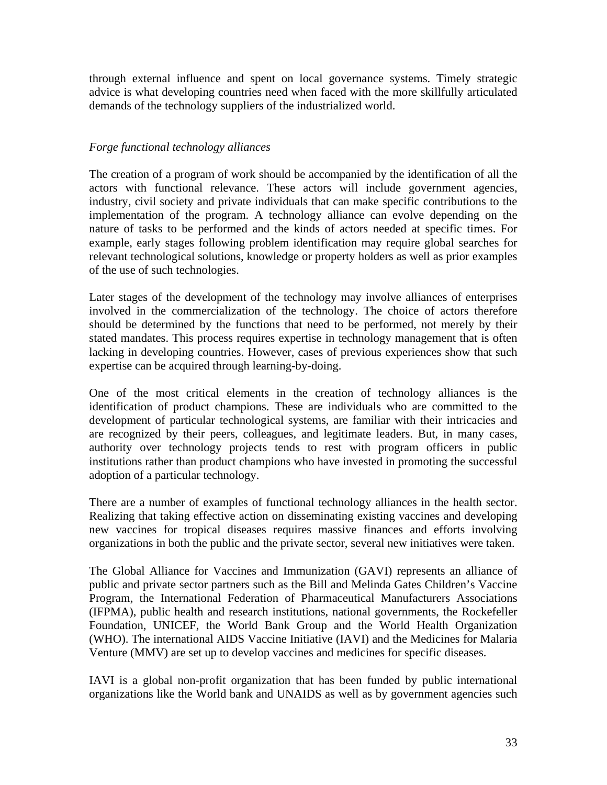through external influence and spent on local governance systems. Timely strategic advice is what developing countries need when faced with the more skillfully articulated demands of the technology suppliers of the industrialized world.

# *Forge functional technology alliances*

The creation of a program of work should be accompanied by the identification of all the actors with functional relevance. These actors will include government agencies, industry, civil society and private individuals that can make specific contributions to the implementation of the program. A technology alliance can evolve depending on the nature of tasks to be performed and the kinds of actors needed at specific times. For example, early stages following problem identification may require global searches for relevant technological solutions, knowledge or property holders as well as prior examples of the use of such technologies.

Later stages of the development of the technology may involve alliances of enterprises involved in the commercialization of the technology. The choice of actors therefore should be determined by the functions that need to be performed, not merely by their stated mandates. This process requires expertise in technology management that is often lacking in developing countries. However, cases of previous experiences show that such expertise can be acquired through learning-by-doing.

One of the most critical elements in the creation of technology alliances is the identification of product champions. These are individuals who are committed to the development of particular technological systems, are familiar with their intricacies and are recognized by their peers, colleagues, and legitimate leaders. But, in many cases, authority over technology projects tends to rest with program officers in public institutions rather than product champions who have invested in promoting the successful adoption of a particular technology.

There are a number of examples of functional technology alliances in the health sector. Realizing that taking effective action on disseminating existing vaccines and developing new vaccines for tropical diseases requires massive finances and efforts involving organizations in both the public and the private sector, several new initiatives were taken.

The Global Alliance for Vaccines and Immunization (GAVI) represents an alliance of public and private sector partners such as the Bill and Melinda Gates Children's Vaccine Program, the International Federation of Pharmaceutical Manufacturers Associations (IFPMA), public health and research institutions, national governments, the Rockefeller Foundation, UNICEF, the World Bank Group and the World Health Organization (WHO). The international AIDS Vaccine Initiative (IAVI) and the Medicines for Malaria Venture (MMV) are set up to develop vaccines and medicines for specific diseases.

IAVI is a global non-profit organization that has been funded by public international organizations like the World bank and UNAIDS as well as by government agencies such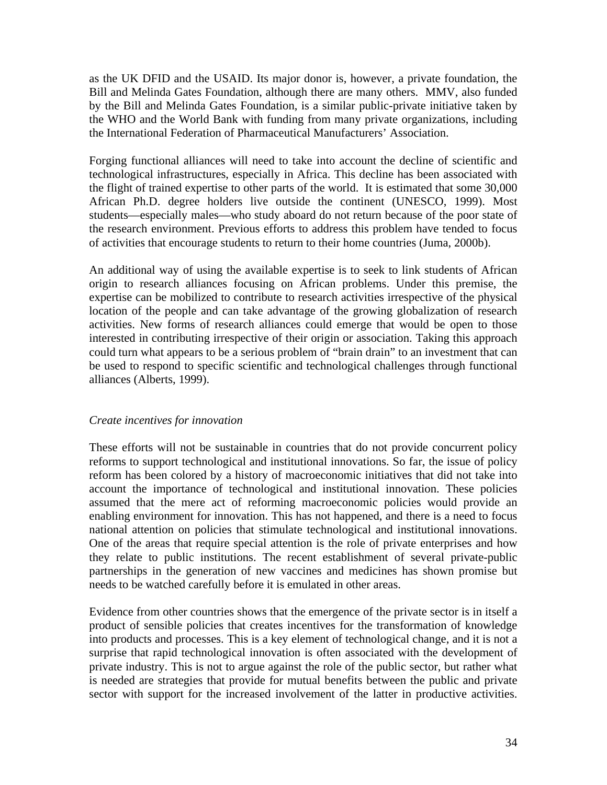as the UK DFID and the USAID. Its major donor is, however, a private foundation, the Bill and Melinda Gates Foundation, although there are many others. MMV, also funded by the Bill and Melinda Gates Foundation, is a similar public-private initiative taken by the WHO and the World Bank with funding from many private organizations, including the International Federation of Pharmaceutical Manufacturers' Association.

Forging functional alliances will need to take into account the decline of scientific and technological infrastructures, especially in Africa. This decline has been associated with the flight of trained expertise to other parts of the world. It is estimated that some 30,000 African Ph.D. degree holders live outside the continent (UNESCO, 1999). Most students—especially males—who study aboard do not return because of the poor state of the research environment. Previous efforts to address this problem have tended to focus of activities that encourage students to return to their home countries (Juma, 2000b).

An additional way of using the available expertise is to seek to link students of African origin to research alliances focusing on African problems. Under this premise, the expertise can be mobilized to contribute to research activities irrespective of the physical location of the people and can take advantage of the growing globalization of research activities. New forms of research alliances could emerge that would be open to those interested in contributing irrespective of their origin or association. Taking this approach could turn what appears to be a serious problem of "brain drain" to an investment that can be used to respond to specific scientific and technological challenges through functional alliances (Alberts, 1999).

## *Create incentives for innovation*

These efforts will not be sustainable in countries that do not provide concurrent policy reforms to support technological and institutional innovations. So far, the issue of policy reform has been colored by a history of macroeconomic initiatives that did not take into account the importance of technological and institutional innovation. These policies assumed that the mere act of reforming macroeconomic policies would provide an enabling environment for innovation. This has not happened, and there is a need to focus national attention on policies that stimulate technological and institutional innovations. One of the areas that require special attention is the role of private enterprises and how they relate to public institutions. The recent establishment of several private-public partnerships in the generation of new vaccines and medicines has shown promise but needs to be watched carefully before it is emulated in other areas.

Evidence from other countries shows that the emergence of the private sector is in itself a product of sensible policies that creates incentives for the transformation of knowledge into products and processes. This is a key element of technological change, and it is not a surprise that rapid technological innovation is often associated with the development of private industry. This is not to argue against the role of the public sector, but rather what is needed are strategies that provide for mutual benefits between the public and private sector with support for the increased involvement of the latter in productive activities.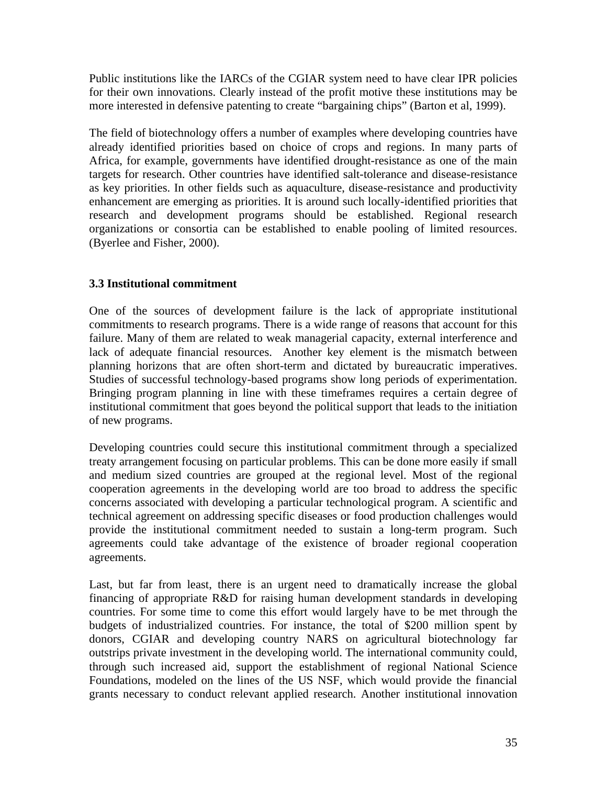Public institutions like the IARCs of the CGIAR system need to have clear IPR policies for their own innovations. Clearly instead of the profit motive these institutions may be more interested in defensive patenting to create "bargaining chips" (Barton et al, 1999).

The field of biotechnology offers a number of examples where developing countries have already identified priorities based on choice of crops and regions. In many parts of Africa, for example, governments have identified drought-resistance as one of the main targets for research. Other countries have identified salt-tolerance and disease-resistance as key priorities. In other fields such as aquaculture, disease-resistance and productivity enhancement are emerging as priorities. It is around such locally-identified priorities that research and development programs should be established. Regional research organizations or consortia can be established to enable pooling of limited resources. (Byerlee and Fisher, 2000).

# **3.3 Institutional commitment**

One of the sources of development failure is the lack of appropriate institutional commitments to research programs. There is a wide range of reasons that account for this failure. Many of them are related to weak managerial capacity, external interference and lack of adequate financial resources. Another key element is the mismatch between planning horizons that are often short-term and dictated by bureaucratic imperatives. Studies of successful technology-based programs show long periods of experimentation. Bringing program planning in line with these timeframes requires a certain degree of institutional commitment that goes beyond the political support that leads to the initiation of new programs.

Developing countries could secure this institutional commitment through a specialized treaty arrangement focusing on particular problems. This can be done more easily if small and medium sized countries are grouped at the regional level. Most of the regional cooperation agreements in the developing world are too broad to address the specific concerns associated with developing a particular technological program. A scientific and technical agreement on addressing specific diseases or food production challenges would provide the institutional commitment needed to sustain a long-term program. Such agreements could take advantage of the existence of broader regional cooperation agreements.

Last, but far from least, there is an urgent need to dramatically increase the global financing of appropriate R&D for raising human development standards in developing countries. For some time to come this effort would largely have to be met through the budgets of industrialized countries. For instance, the total of \$200 million spent by donors, CGIAR and developing country NARS on agricultural biotechnology far outstrips private investment in the developing world. The international community could, through such increased aid, support the establishment of regional National Science Foundations, modeled on the lines of the US NSF, which would provide the financial grants necessary to conduct relevant applied research. Another institutional innovation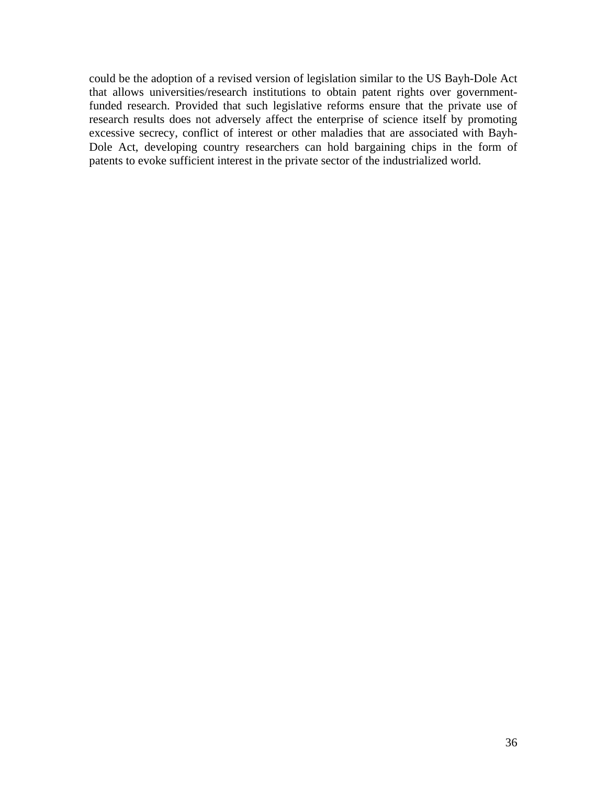could be the adoption of a revised version of legislation similar to the US Bayh-Dole Act that allows universities/research institutions to obtain patent rights over governmentfunded research. Provided that such legislative reforms ensure that the private use of research results does not adversely affect the enterprise of science itself by promoting excessive secrecy, conflict of interest or other maladies that are associated with Bayh-Dole Act, developing country researchers can hold bargaining chips in the form of patents to evoke sufficient interest in the private sector of the industrialized world.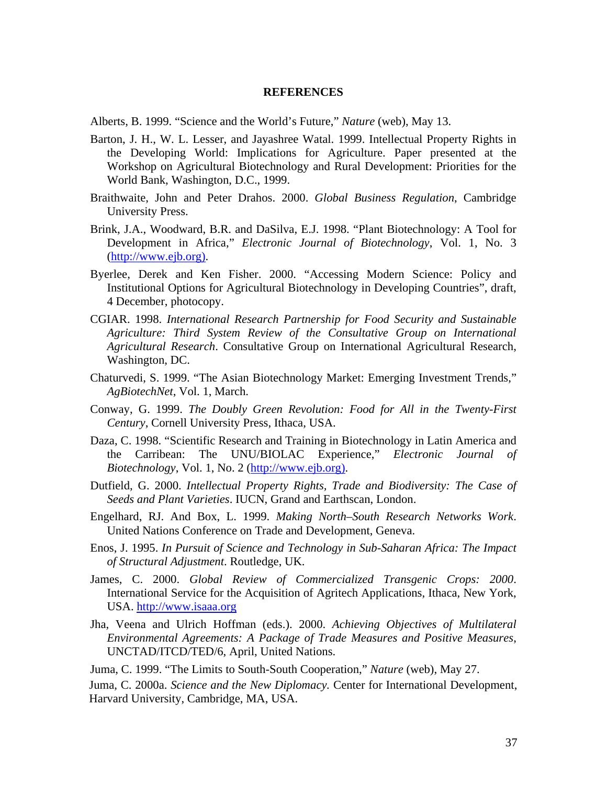### **REFERENCES**

Alberts, B. 1999. "Science and the World's Future," *Nature* (web), May 13.

- Barton, J. H., W. L. Lesser, and Jayashree Watal. 1999. Intellectual Property Rights in the Developing World: Implications for Agriculture. Paper presented at the Workshop on Agricultural Biotechnology and Rural Development: Priorities for the World Bank, Washington, D.C., 1999.
- Braithwaite, John and Peter Drahos. 2000. *Global Business Regulation*, Cambridge University Press.
- Brink, J.A., Woodward, B.R. and DaSilva, E.J. 1998. "Plant Biotechnology: A Tool for Development in Africa," *Electronic Journal of Biotechnology*, Vol. 1, No. 3 (http://www.ejb.org).
- Byerlee, Derek and Ken Fisher. 2000. "Accessing Modern Science: Policy and Institutional Options for Agricultural Biotechnology in Developing Countries", draft, 4 December, photocopy.
- CGIAR. 1998. *International Research Partnership for Food Security and Sustainable Agriculture: Third System Review of the Consultative Group on International Agricultural Research*. Consultative Group on International Agricultural Research, Washington, DC.
- Chaturvedi, S. 1999. "The Asian Biotechnology Market: Emerging Investment Trends," *AgBiotechNet*, Vol. 1, March.
- Conway, G. 1999. *The Doubly Green Revolution: Food for All in the Twenty-First Century*, Cornell University Press, Ithaca, USA.
- Daza, C. 1998. "Scientific Research and Training in Biotechnology in Latin America and the Carribean: The UNU/BIOLAC Experience," *Electronic Journal of Biotechnology*, Vol. 1, No. 2 (http://www.ejb.org).
- Dutfield, G. 2000. *Intellectual Property Rights, Trade and Biodiversity: The Case of Seeds and Plant Varieties*. IUCN, Grand and Earthscan, London.
- Engelhard, RJ. And Box, L. 1999. *Making North–South Research Networks Work*. United Nations Conference on Trade and Development, Geneva.
- Enos, J. 1995. *In Pursuit of Science and Technology in Sub-Saharan Africa: The Impact of Structural Adjustment*. Routledge, UK.
- James, C. 2000. *Global Review of Commercialized Transgenic Crops: 2000*. International Service for the Acquisition of Agritech Applications, Ithaca, New York, USA. http://www.isaaa.org
- Jha, Veena and Ulrich Hoffman (eds.). 2000. *Achieving Objectives of Multilateral Environmental Agreements: A Package of Trade Measures and Positive Measures*, UNCTAD/ITCD/TED/6, April, United Nations.

Juma, C. 1999. "The Limits to South-South Cooperation," *Nature* (web), May 27.

Juma, C. 2000a. *Science and the New Diplomacy.* Center for International Development, Harvard University, Cambridge, MA, USA.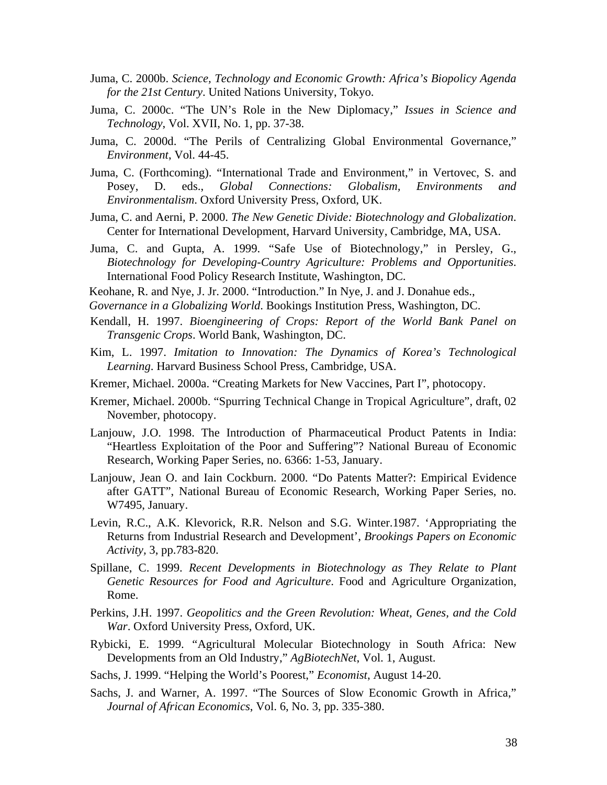- Juma, C. 2000b. *Science, Technology and Economic Growth: Africa's Biopolicy Agenda for the 21st Century*. United Nations University, Tokyo.
- Juma, C. 2000c. "The UN's Role in the New Diplomacy," *Issues in Science and Technology*, Vol. XVII, No. 1, pp. 37-38.
- Juma, C. 2000d. "The Perils of Centralizing Global Environmental Governance," *Environment*, Vol. 44-45.
- Juma, C. (Forthcoming). "International Trade and Environment," in Vertovec, S. and Posey, D. eds., *Global Connections: Globalism, Environments and Environmentalism*. Oxford University Press, Oxford, UK.
- Juma, C. and Aerni, P. 2000. *The New Genetic Divide: Biotechnology and Globalization*. Center for International Development, Harvard University, Cambridge, MA, USA.
- Juma, C. and Gupta, A. 1999. "Safe Use of Biotechnology," in Persley, G., *Biotechnology for Developing-Country Agriculture: Problems and Opportunities*. International Food Policy Research Institute, Washington, DC.
- Keohane, R. and Nye, J. Jr. 2000. "Introduction." In Nye, J. and J. Donahue eds.,
- *Governance in a Globalizing World*. Bookings Institution Press, Washington, DC.
- Kendall, H. 1997. *Bioengineering of Crops: Report of the World Bank Panel on Transgenic Crops*. World Bank, Washington, DC.
- Kim, L. 1997. *Imitation to Innovation: The Dynamics of Korea's Technological Learning*. Harvard Business School Press, Cambridge, USA.
- Kremer, Michael. 2000a. "Creating Markets for New Vaccines, Part I", photocopy.
- Kremer, Michael. 2000b. "Spurring Technical Change in Tropical Agriculture", draft, 02 November, photocopy.
- Lanjouw, J.O. 1998. The Introduction of Pharmaceutical Product Patents in India: "Heartless Exploitation of the Poor and Suffering"? National Bureau of Economic Research, Working Paper Series, no. 6366: 1-53, January.
- Lanjouw, Jean O. and Iain Cockburn. 2000. "Do Patents Matter?: Empirical Evidence after GATT", National Bureau of Economic Research, Working Paper Series, no. W7495, January.
- Levin, R.C., A.K. Klevorick, R.R. Nelson and S.G. Winter.1987. 'Appropriating the Returns from Industrial Research and Development', *Brookings Papers on Economic Activity,* 3, pp.783-820.
- Spillane, C. 1999. *Recent Developments in Biotechnology as They Relate to Plant Genetic Resources for Food and Agriculture*. Food and Agriculture Organization, Rome.
- Perkins, J.H. 1997. *Geopolitics and the Green Revolution: Wheat, Genes, and the Cold War*. Oxford University Press, Oxford, UK.
- Rybicki, E. 1999. "Agricultural Molecular Biotechnology in South Africa: New Developments from an Old Industry," *AgBiotechNet*, Vol. 1, August.
- Sachs, J. 1999. "Helping the World's Poorest," *Economist*, August 14-20.
- Sachs, J. and Warner, A. 1997. "The Sources of Slow Economic Growth in Africa," *Journal of African Economics*, Vol. 6, No. 3, pp. 335-380.